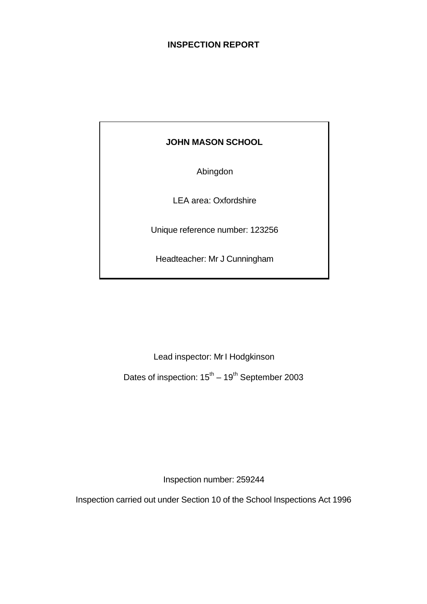# **INSPECTION REPORT**

# **JOHN MASON SCHOOL**

Abingdon

LEA area: Oxfordshire

Unique reference number: 123256

Headteacher: Mr J Cunningham

Lead inspector: Mr I Hodgkinson

Dates of inspection:  $15^{th} - 19^{th}$  September 2003

Inspection number: 259244

Inspection carried out under Section 10 of the School Inspections Act 1996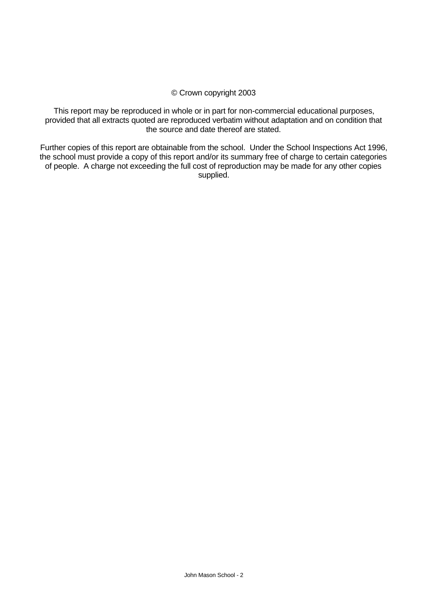#### © Crown copyright 2003

This report may be reproduced in whole or in part for non-commercial educational purposes, provided that all extracts quoted are reproduced verbatim without adaptation and on condition that the source and date thereof are stated.

Further copies of this report are obtainable from the school. Under the School Inspections Act 1996, the school must provide a copy of this report and/or its summary free of charge to certain categories of people. A charge not exceeding the full cost of reproduction may be made for any other copies supplied.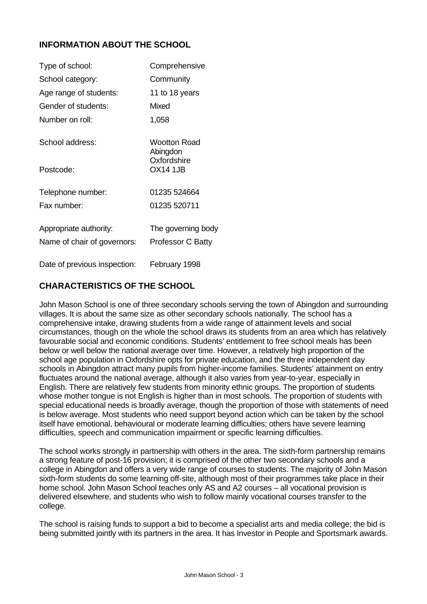# **INFORMATION ABOUT THE SCHOOL**

| Type of school:                                       | Comprehensive                           |
|-------------------------------------------------------|-----------------------------------------|
| School category:                                      | Community                               |
| Age range of students:                                | 11 to 18 years                          |
| Gender of students:                                   | Mixed                                   |
| Number on roll:                                       | 1,058                                   |
| School address:                                       | <b>Wootton Road</b><br>Abingdon         |
| Postcode:                                             | Oxfordshire<br><b>OX14 1JB</b>          |
| Telephone number:                                     | 01235 524664                            |
| Fax number:                                           | 01235 520711                            |
| Appropriate authority:<br>Name of chair of governors: | The governing body<br>Professor C Batty |
| Date of previous inspection:                          | February 1998                           |

# **CHARACTERISTICS OF THE SCHOOL**

John Mason School is one of three secondary schools serving the town of Abingdon and surrounding villages. It is about the same size as other secondary schools nationally. The school has a comprehensive intake, drawing students from a wide range of attainment levels and social circumstances, though on the whole the school draws its students from an area which has relatively favourable social and economic conditions. Students' entitlement to free school meals has been below or well below the national average over time. However, a relatively high proportion of the school age population in Oxfordshire opts for private education, and the three independent day schools in Abingdon attract many pupils from higher-income families. Students' attainment on entry fluctuates around the national average, although it also varies from year-to-year, especially in English. There are relatively few students from minority ethnic groups. The proportion of students whose mother tongue is not English is higher than in most schools. The proportion of students with special educational needs is broadly average, though the proportion of those with statements of need is below average. Most students who need support beyond action which can be taken by the school itself have emotional, behavioural or moderate learning difficulties; others have severe learning difficulties, speech and communication impairment or specific learning difficulties.

The school works strongly in partnership with others in the area. The sixth-form partnership remains a strong feature of post-16 provision; it is comprised of the other two secondary schools and a college in Abingdon and offers a very wide range of courses to students. The majority of John Mason sixth-form students do some learning off-site, although most of their programmes take place in their home school. John Mason School teaches only AS and A2 courses – all vocational provision is delivered elsewhere, and students who wish to follow mainly vocational courses transfer to the college.

The school is raising funds to support a bid to become a specialist arts and media college; the bid is being submitted jointly with its partners in the area. It has Investor in People and Sportsmark awards.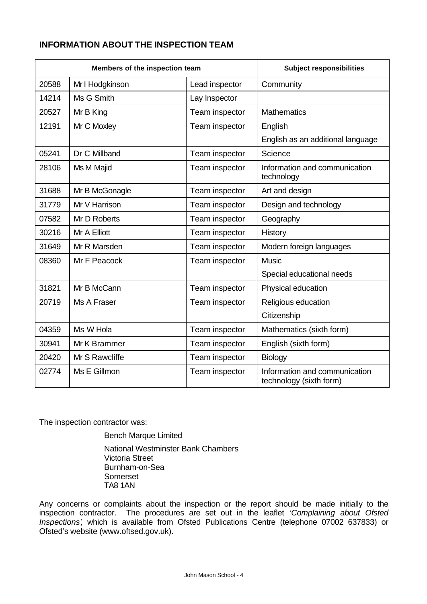# **INFORMATION ABOUT THE INSPECTION TEAM**

| Members of the inspection team |                 | <b>Subject responsibilities</b> |                                                          |
|--------------------------------|-----------------|---------------------------------|----------------------------------------------------------|
| 20588                          | Mr I Hodgkinson | Lead inspector                  | Community                                                |
| 14214                          | Ms G Smith      | Lay Inspector                   |                                                          |
| 20527                          | Mr B King       | Team inspector                  | <b>Mathematics</b>                                       |
| 12191                          | Mr C Moxley     | Team inspector                  | English                                                  |
|                                |                 |                                 | English as an additional language                        |
| 05241                          | Dr C Millband   | Team inspector                  | Science                                                  |
| 28106                          | Ms M Majid      | Team inspector                  | Information and communication<br>technology              |
| 31688                          | Mr B McGonagle  | Team inspector                  | Art and design                                           |
| 31779                          | Mr V Harrison   | Team inspector                  | Design and technology                                    |
| 07582                          | Mr D Roberts    | Team inspector                  | Geography                                                |
| 30216                          | Mr A Elliott    | Team inspector                  | History                                                  |
| 31649                          | Mr R Marsden    | Team inspector                  | Modern foreign languages                                 |
| 08360                          | Mr F Peacock    | Team inspector                  | <b>Music</b>                                             |
|                                |                 |                                 | Special educational needs                                |
| 31821                          | Mr B McCann     | Team inspector                  | Physical education                                       |
| 20719                          | Ms A Fraser     | Team inspector                  | Religious education                                      |
|                                |                 |                                 | Citizenship                                              |
| 04359                          | Ms W Hola       | Team inspector                  | Mathematics (sixth form)                                 |
| 30941                          | Mr K Brammer    | Team inspector                  | English (sixth form)                                     |
| 20420                          | Mr S Rawcliffe  | Team inspector                  | Biology                                                  |
| 02774                          | Ms E Gillmon    | Team inspector                  | Information and communication<br>technology (sixth form) |

The inspection contractor was:

Bench Marque Limited National Westminster Bank Chambers Victoria Street Burnham-on-Sea Somerset TA8 1AN

Any concerns or complaints about the inspection or the report should be made initially to the inspection contractor. The procedures are set out in the leaflet *'Complaining about Ofsted Inspections'*, which is available from Ofsted Publications Centre (telephone 07002 637833) or Ofsted's website (www.oftsed.gov.uk).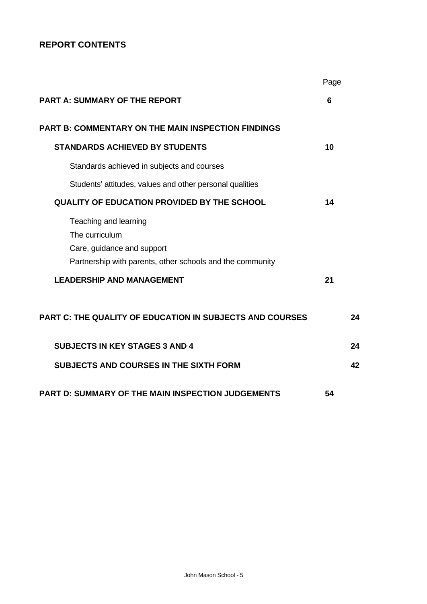# **REPORT CONTENTS**

|                                                                                                                                    | Page |  |
|------------------------------------------------------------------------------------------------------------------------------------|------|--|
| <b>PART A: SUMMARY OF THE REPORT</b>                                                                                               | 6    |  |
| <b>PART B: COMMENTARY ON THE MAIN INSPECTION FINDINGS</b>                                                                          |      |  |
| <b>STANDARDS ACHIEVED BY STUDENTS</b>                                                                                              | 10   |  |
| Standards achieved in subjects and courses                                                                                         |      |  |
| Students' attitudes, values and other personal qualities                                                                           |      |  |
| <b>QUALITY OF EDUCATION PROVIDED BY THE SCHOOL</b>                                                                                 | 14   |  |
| Teaching and learning<br>The curriculum<br>Care, guidance and support<br>Partnership with parents, other schools and the community |      |  |
| <b>LEADERSHIP AND MANAGEMENT</b>                                                                                                   | 21   |  |
| <b>PART C: THE QUALITY OF EDUCATION IN SUBJECTS AND COURSES</b>                                                                    | 24   |  |
| <b>SUBJECTS IN KEY STAGES 3 AND 4</b>                                                                                              | 24   |  |
| <b>SUBJECTS AND COURSES IN THE SIXTH FORM</b>                                                                                      | 42   |  |
| <b>PART D: SUMMARY OF THE MAIN INSPECTION JUDGEMENTS</b>                                                                           | 54   |  |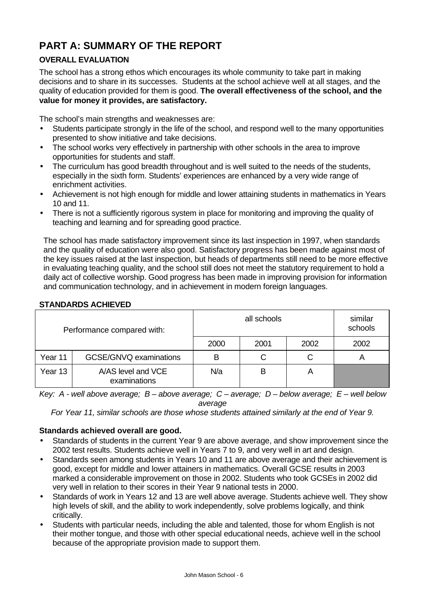# **PART A: SUMMARY OF THE REPORT**

# **OVERALL EVALUATION**

The school has a strong ethos which encourages its whole community to take part in making decisions and to share in its successes. Students at the school achieve well at all stages, and the quality of education provided for them is good. **The overall effectiveness of the school, and the value for money it provides, are satisfactory.**

The school's main strengths and weaknesses are:

- Students participate strongly in the life of the school, and respond well to the many opportunities presented to show initiative and take decisions.
- The school works very effectively in partnership with other schools in the area to improve opportunities for students and staff.
- The curriculum has good breadth throughout and is well suited to the needs of the students, especially in the sixth form. Students' experiences are enhanced by a very wide range of enrichment activities.
- Achievement is not high enough for middle and lower attaining students in mathematics in Years 10 and 11.
- There is not a sufficiently rigorous system in place for monitoring and improving the quality of teaching and learning and for spreading good practice.

The school has made satisfactory improvement since its last inspection in 1997, when standards and the quality of education were also good. Satisfactory progress has been made against most of the key issues raised at the last inspection, but heads of departments still need to be more effective in evaluating teaching quality, and the school still does not meet the statutory requirement to hold a daily act of collective worship. Good progress has been made in improving provision for information and communication technology, and in achievement in modern foreign languages.

| Performance compared with: |                                    |      | similar<br>schools |      |      |
|----------------------------|------------------------------------|------|--------------------|------|------|
|                            |                                    | 2000 | 2001               | 2002 | 2002 |
| Year 11                    | GCSE/GNVQ examinations             | В    | С                  | С    |      |
| Year 13                    | A/AS level and VCE<br>examinations | N/a  | Β                  | A    |      |

#### **STANDARDS ACHIEVED**

*Key: A - well above average; B – above average; C – average; D – below average; E – well below average*

*For Year 11, similar schools are those whose students attained similarly at the end of Year 9.*

# **Standards achieved overall are good.**

- Standards of students in the current Year 9 are above average, and show improvement since the 2002 test results. Students achieve well in Years 7 to 9, and very well in art and design.
- Standards seen among students in Years 10 and 11 are above average and their achievement is good, except for middle and lower attainers in mathematics. Overall GCSE results in 2003 marked a considerable improvement on those in 2002. Students who took GCSEs in 2002 did very well in relation to their scores in their Year 9 national tests in 2000.
- Standards of work in Years 12 and 13 are well above average. Students achieve well. They show high levels of skill, and the ability to work independently, solve problems logically, and think critically.
- Students with particular needs, including the able and talented, those for whom English is not their mother tongue, and those with other special educational needs, achieve well in the school because of the appropriate provision made to support them.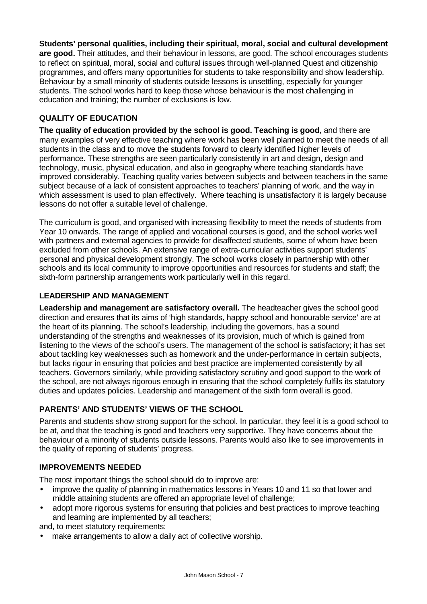**Students' personal qualities, including their spiritual, moral, social and cultural development are good.** Their attitudes, and their behaviour in lessons, are good. The school encourages students to reflect on spiritual, moral, social and cultural issues through well-planned Quest and citizenship programmes, and offers many opportunities for students to take responsibility and show leadership. Behaviour by a small minority of students outside lessons is unsettling, especially for younger students. The school works hard to keep those whose behaviour is the most challenging in education and training; the number of exclusions is low.

# **QUALITY OF EDUCATION**

**The quality of education provided by the school is good. Teaching is good,** and there are many examples of very effective teaching where work has been well planned to meet the needs of all students in the class and to move the students forward to clearly identified higher levels of performance. These strengths are seen particularly consistently in art and design, design and technology, music, physical education, and also in geography where teaching standards have improved considerably. Teaching quality varies between subjects and between teachers in the same subject because of a lack of consistent approaches to teachers' planning of work, and the way in which assessment is used to plan effectively. Where teaching is unsatisfactory it is largely because lessons do not offer a suitable level of challenge.

The curriculum is good, and organised with increasing flexibility to meet the needs of students from Year 10 onwards. The range of applied and vocational courses is good, and the school works well with partners and external agencies to provide for disaffected students, some of whom have been excluded from other schools. An extensive range of extra-curricular activities support students' personal and physical development strongly. The school works closely in partnership with other schools and its local community to improve opportunities and resources for students and staff; the sixth-form partnership arrangements work particularly well in this regard.

# **LEADERSHIP AND MANAGEMENT**

**Leadership and management are satisfactory overall.** The headteacher gives the school good direction and ensures that its aims of 'high standards, happy school and honourable service' are at the heart of its planning. The school's leadership, including the governors, has a sound understanding of the strengths and weaknesses of its provision, much of which is gained from listening to the views of the school's users. The management of the school is satisfactory; it has set about tackling key weaknesses such as homework and the under-performance in certain subjects, but lacks rigour in ensuring that policies and best practice are implemented consistently by all teachers. Governors similarly, while providing satisfactory scrutiny and good support to the work of the school, are not always rigorous enough in ensuring that the school completely fulfils its statutory duties and updates policies. Leadership and management of the sixth form overall is good.

# **PARENTS' AND STUDENTS' VIEWS OF THE SCHOOL**

Parents and students show strong support for the school. In particular, they feel it is a good school to be at, and that the teaching is good and teachers very supportive. They have concerns about the behaviour of a minority of students outside lessons. Parents would also like to see improvements in the quality of reporting of students' progress.

# **IMPROVEMENTS NEEDED**

The most important things the school should do to improve are:

- improve the quality of planning in mathematics lessons in Years 10 and 11 so that lower and middle attaining students are offered an appropriate level of challenge;
- adopt more rigorous systems for ensuring that policies and best practices to improve teaching and learning are implemented by all teachers;
- and, to meet statutory requirements:
- make arrangements to allow a daily act of collective worship.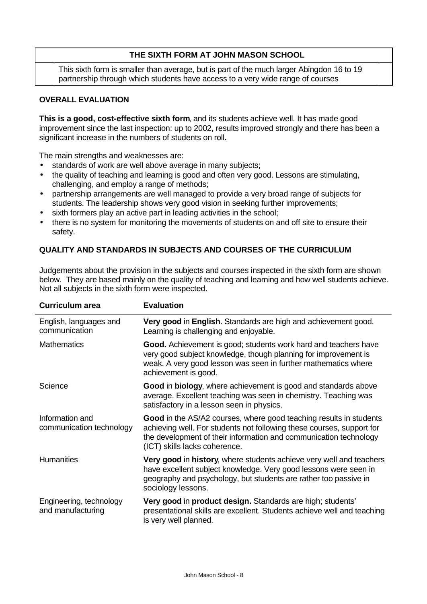# **THE SIXTH FORM AT JOHN MASON SCHOOL**

This sixth form is smaller than average, but is part of the much larger Abingdon 16 to 19 partnership through which students have access to a very wide range of courses

# **OVERALL EVALUATION**

**This is a good, cost-effective sixth form**, and its students achieve well. It has made good improvement since the last inspection: up to 2002, results improved strongly and there has been a significant increase in the numbers of students on roll.

The main strengths and weaknesses are:

- standards of work are well above average in many subjects;
- the quality of teaching and learning is good and often very good. Lessons are stimulating, challenging, and employ a range of methods;
- partnership arrangements are well managed to provide a very broad range of subjects for students. The leadership shows very good vision in seeking further improvements;
- sixth formers play an active part in leading activities in the school;
- there is no system for monitoring the movements of students on and off site to ensure their safety.

### **QUALITY AND STANDARDS IN SUBJECTS AND COURSES OF THE CURRICULUM**

Judgements about the provision in the subjects and courses inspected in the sixth form are shown below. They are based mainly on the quality of teaching and learning and how well students achieve. Not all subjects in the sixth form were inspected.

| <b>Curriculum area</b>                       | <b>Evaluation</b>                                                                                                                                                                                                                                 |
|----------------------------------------------|---------------------------------------------------------------------------------------------------------------------------------------------------------------------------------------------------------------------------------------------------|
| English, languages and<br>communication      | Very good in English. Standards are high and achievement good.<br>Learning is challenging and enjoyable.                                                                                                                                          |
| <b>Mathematics</b>                           | Good. Achievement is good; students work hard and teachers have<br>very good subject knowledge, though planning for improvement is<br>weak. A very good lesson was seen in further mathematics where<br>achievement is good.                      |
| Science                                      | Good in biology, where achievement is good and standards above<br>average. Excellent teaching was seen in chemistry. Teaching was<br>satisfactory in a lesson seen in physics.                                                                    |
| Information and<br>communication technology  | Good in the AS/A2 courses, where good teaching results in students<br>achieving well. For students not following these courses, support for<br>the development of their information and communication technology<br>(ICT) skills lacks coherence. |
| <b>Humanities</b>                            | Very good in history, where students achieve very well and teachers<br>have excellent subject knowledge. Very good lessons were seen in<br>geography and psychology, but students are rather too passive in<br>sociology lessons.                 |
| Engineering, technology<br>and manufacturing | Very good in product design. Standards are high; students'<br>presentational skills are excellent. Students achieve well and teaching<br>is very well planned.                                                                                    |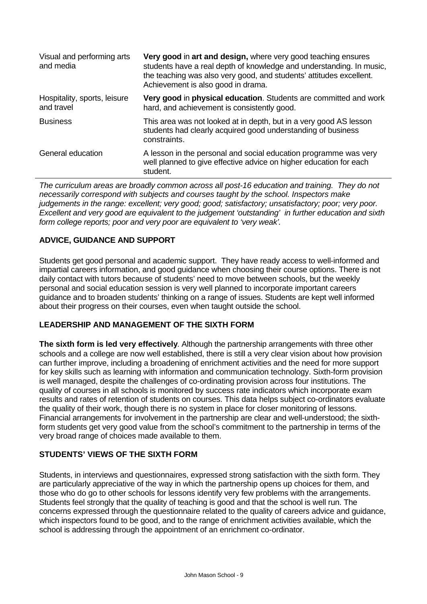| Visual and performing arts<br>and media    | Very good in art and design, where very good teaching ensures<br>students have a real depth of knowledge and understanding. In music,<br>the teaching was also very good, and students' attitudes excellent.<br>Achievement is also good in drama. |
|--------------------------------------------|----------------------------------------------------------------------------------------------------------------------------------------------------------------------------------------------------------------------------------------------------|
| Hospitality, sports, leisure<br>and travel | Very good in physical education. Students are committed and work<br>hard, and achievement is consistently good.                                                                                                                                    |
| <b>Business</b>                            | This area was not looked at in depth, but in a very good AS lesson<br>students had clearly acquired good understanding of business<br>constraints.                                                                                                 |
| General education                          | A lesson in the personal and social education programme was very<br>well planned to give effective advice on higher education for each<br>student.                                                                                                 |

*The curriculum areas are broadly common across all post-16 education and training. They do not necessarily correspond with subjects and courses taught by the school. Inspectors make judgements in the range: excellent; very good; good; satisfactory; unsatisfactory; poor; very poor. Excellent and very good are equivalent to the judgement 'outstanding' in further education and sixth form college reports; poor and very poor are equivalent to 'very weak'.*

# **ADVICE, GUIDANCE AND SUPPORT**

Students get good personal and academic support. They have ready access to well-informed and impartial careers information, and good guidance when choosing their course options. There is not daily contact with tutors because of students' need to move between schools, but the weekly personal and social education session is very well planned to incorporate important careers guidance and to broaden students' thinking on a range of issues. Students are kept well informed about their progress on their courses, even when taught outside the school.

# **LEADERSHIP AND MANAGEMENT OF THE SIXTH FORM**

**The sixth form is led very effectively**. Although the partnership arrangements with three other schools and a college are now well established, there is still a very clear vision about how provision can further improve, including a broadening of enrichment activities and the need for more support for key skills such as learning with information and communication technology. Sixth-form provision is well managed, despite the challenges of co-ordinating provision across four institutions. The quality of courses in all schools is monitored by success rate indicators which incorporate exam results and rates of retention of students on courses. This data helps subject co-ordinators evaluate the quality of their work, though there is no system in place for closer monitoring of lessons. Financial arrangements for involvement in the partnership are clear and well-understood; the sixthform students get very good value from the school's commitment to the partnership in terms of the very broad range of choices made available to them.

#### **STUDENTS' VIEWS OF THE SIXTH FORM**

Students, in interviews and questionnaires, expressed strong satisfaction with the sixth form. They are particularly appreciative of the way in which the partnership opens up choices for them, and those who do go to other schools for lessons identify very few problems with the arrangements. Students feel strongly that the quality of teaching is good and that the school is well run. The concerns expressed through the questionnaire related to the quality of careers advice and guidance, which inspectors found to be good, and to the range of enrichment activities available, which the school is addressing through the appointment of an enrichment co-ordinator.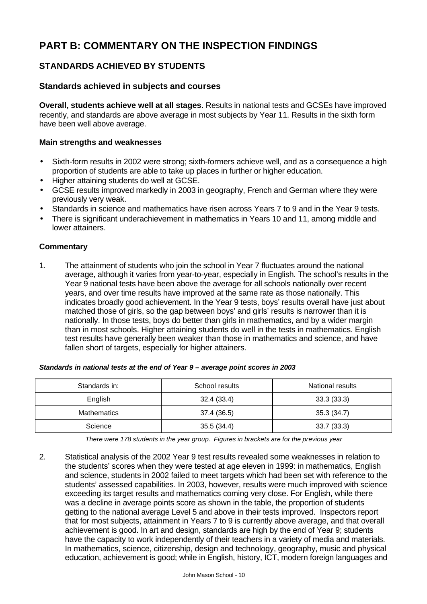# **PART B: COMMENTARY ON THE INSPECTION FINDINGS**

# **STANDARDS ACHIEVED BY STUDENTS**

# **Standards achieved in subjects and courses**

**Overall, students achieve well at all stages.** Results in national tests and GCSEs have improved recently, and standards are above average in most subjects by Year 11. Results in the sixth form have been well above average.

#### **Main strengths and weaknesses**

- Sixth-form results in 2002 were strong; sixth-formers achieve well, and as a consequence a high proportion of students are able to take up places in further or higher education.
- Higher attaining students do well at GCSE.
- GCSE results improved markedly in 2003 in geography, French and German where they were previously very weak.
- Standards in science and mathematics have risen across Years 7 to 9 and in the Year 9 tests.
- There is significant underachievement in mathematics in Years 10 and 11, among middle and lower attainers.

### **Commentary**

1. The attainment of students who join the school in Year 7 fluctuates around the national average, although it varies from year-to-year, especially in English. The school's results in the Year 9 national tests have been above the average for all schools nationally over recent years, and over time results have improved at the same rate as those nationally. This indicates broadly good achievement. In the Year 9 tests, boys' results overall have just about matched those of girls, so the gap between boys' and girls' results is narrower than it is nationally. In those tests, boys do better than girls in mathematics, and by a wider margin than in most schools. Higher attaining students do well in the tests in mathematics. English test results have generally been weaker than those in mathematics and science, and have fallen short of targets, especially for higher attainers.

| Standards in:      | School results | National results |
|--------------------|----------------|------------------|
| English            | 32.4 (33.4)    | 33.3(33.3)       |
| <b>Mathematics</b> | 37.4 (36.5)    | 35.3 (34.7)      |
| Science            | 35.5(34.4)     | 33.7(33.3)       |

#### *Standards in national tests at the end of Year 9 – average point scores in 2003*

*There were 178 students in the year group. Figures in brackets are for the previous year*

2. Statistical analysis of the 2002 Year 9 test results revealed some weaknesses in relation to the students' scores when they were tested at age eleven in 1999: in mathematics, English and science, students in 2002 failed to meet targets which had been set with reference to the students' assessed capabilities. In 2003, however, results were much improved with science exceeding its target results and mathematics coming very close. For English, while there was a decline in average points score as shown in the table, the proportion of students getting to the national average Level 5 and above in their tests improved. Inspectors report that for most subjects, attainment in Years 7 to 9 is currently above average, and that overall achievement is good. In art and design, standards are high by the end of Year 9; students have the capacity to work independently of their teachers in a variety of media and materials. In mathematics, science, citizenship, design and technology, geography, music and physical education, achievement is good; while in English, history, ICT, modern foreign languages and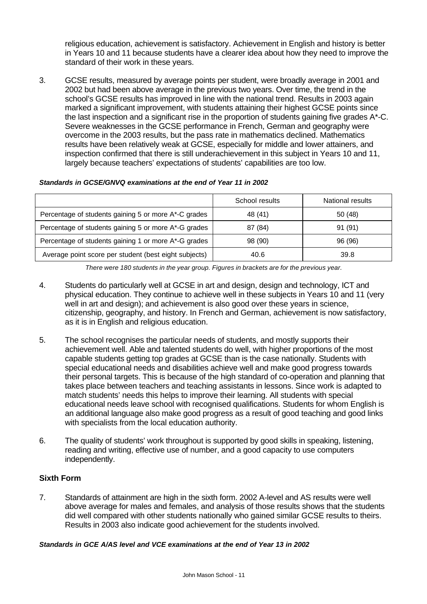religious education, achievement is satisfactory. Achievement in English and history is better in Years 10 and 11 because students have a clearer idea about how they need to improve the standard of their work in these years.

3. GCSE results, measured by average points per student, were broadly average in 2001 and 2002 but had been above average in the previous two years. Over time, the trend in the school's GCSE results has improved in line with the national trend. Results in 2003 again marked a significant improvement, with students attaining their highest GCSE points since the last inspection and a significant rise in the proportion of students gaining five grades A\*-C. Severe weaknesses in the GCSE performance in French, German and geography were overcome in the 2003 results, but the pass rate in mathematics declined. Mathematics results have been relatively weak at GCSE, especially for middle and lower attainers, and inspection confirmed that there is still underachievement in this subject in Years 10 and 11, largely because teachers' expectations of students' capabilities are too low.

|                                                       | School results | National results |
|-------------------------------------------------------|----------------|------------------|
| Percentage of students gaining 5 or more A*-C grades  | 48 (41)        | 50 (48)          |
| Percentage of students gaining 5 or more A*-G grades  | 87 (84)        | 91 (91)          |
| Percentage of students gaining 1 or more A*-G grades  | 98 (90)        | 96 (96)          |
| Average point score per student (best eight subjects) | 40.6           | 39.8             |

#### *Standards in GCSE/GNVQ examinations at the end of Year 11 in 2002*

*There were 180 students in the year group. Figures in brackets are for the previous year.*

- 4. Students do particularly well at GCSE in art and design, design and technology, ICT and physical education. They continue to achieve well in these subjects in Years 10 and 11 (very well in art and design); and achievement is also good over these years in science, citizenship, geography, and history. In French and German, achievement is now satisfactory, as it is in English and religious education.
- 5. The school recognises the particular needs of students, and mostly supports their achievement well. Able and talented students do well, with higher proportions of the most capable students getting top grades at GCSE than is the case nationally. Students with special educational needs and disabilities achieve well and make good progress towards their personal targets. This is because of the high standard of co-operation and planning that takes place between teachers and teaching assistants in lessons. Since work is adapted to match students' needs this helps to improve their learning. All students with special educational needs leave school with recognised qualifications. Students for whom English is an additional language also make good progress as a result of good teaching and good links with specialists from the local education authority.
- 6. The quality of students' work throughout is supported by good skills in speaking, listening, reading and writing, effective use of number, and a good capacity to use computers independently.

#### **Sixth Form**

7. Standards of attainment are high in the sixth form. 2002 A-level and AS results were well above average for males and females, and analysis of those results shows that the students did well compared with other students nationally who gained similar GCSE results to theirs. Results in 2003 also indicate good achievement for the students involved.

#### *Standards in GCE A/AS level and VCE examinations at the end of Year 13 in 2002*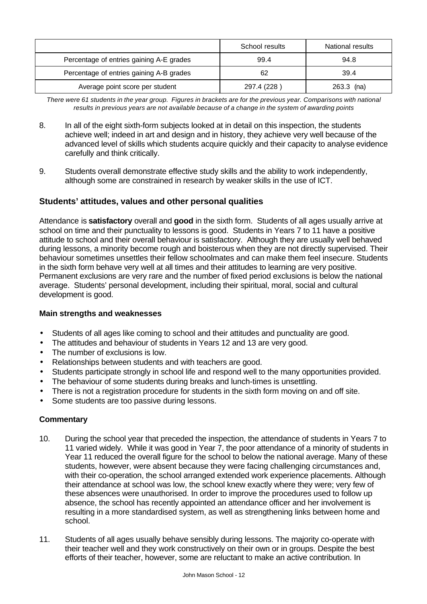|                                          | School results | National results |
|------------------------------------------|----------------|------------------|
| Percentage of entries gaining A-E grades | 99.4           | 94.8             |
| Percentage of entries gaining A-B grades | 62             | 39.4             |
| Average point score per student          | 297.4 (228)    | $263.3$ (na)     |

*There were 61 students in the year group. Figures in brackets are for the previous year. Comparisons with national results in previous years are not available because of a change in the system of awarding points*

- 8. In all of the eight sixth-form subjects looked at in detail on this inspection, the students achieve well; indeed in art and design and in history, they achieve very well because of the advanced level of skills which students acquire quickly and their capacity to analyse evidence carefully and think critically.
- 9. Students overall demonstrate effective study skills and the ability to work independently, although some are constrained in research by weaker skills in the use of ICT.

# **Students' attitudes, values and other personal qualities**

Attendance is **satisfactory** overall and **good** in the sixth form. Students of all ages usually arrive at school on time and their punctuality to lessons is good. Students in Years 7 to 11 have a positive attitude to school and their overall behaviour is satisfactory. Although they are usually well behaved during lessons, a minority become rough and boisterous when they are not directly supervised. Their behaviour sometimes unsettles their fellow schoolmates and can make them feel insecure. Students in the sixth form behave very well at all times and their attitudes to learning are very positive. Permanent exclusions are very rare and the number of fixed period exclusions is below the national average. Students' personal development, including their spiritual, moral, social and cultural development is good.

#### **Main strengths and weaknesses**

- Students of all ages like coming to school and their attitudes and punctuality are good.
- The attitudes and behaviour of students in Years 12 and 13 are very good.
- The number of exclusions is low.
- Relationships between students and with teachers are good.
- Students participate strongly in school life and respond well to the many opportunities provided.
- The behaviour of some students during breaks and lunch-times is unsettling.
- There is not a registration procedure for students in the sixth form moving on and off site.
- Some students are too passive during lessons.

- 10. During the school year that preceded the inspection, the attendance of students in Years 7 to 11 varied widely. While it was good in Year 7, the poor attendance of a minority of students in Year 11 reduced the overall figure for the school to below the national average. Many of these students, however, were absent because they were facing challenging circumstances and, with their co-operation, the school arranged extended work experience placements. Although their attendance at school was low, the school knew exactly where they were; very few of these absences were unauthorised. In order to improve the procedures used to follow up absence, the school has recently appointed an attendance officer and her involvement is resulting in a more standardised system, as well as strengthening links between home and school.
- 11. Students of all ages usually behave sensibly during lessons. The majority co-operate with their teacher well and they work constructively on their own or in groups. Despite the best efforts of their teacher, however, some are reluctant to make an active contribution. In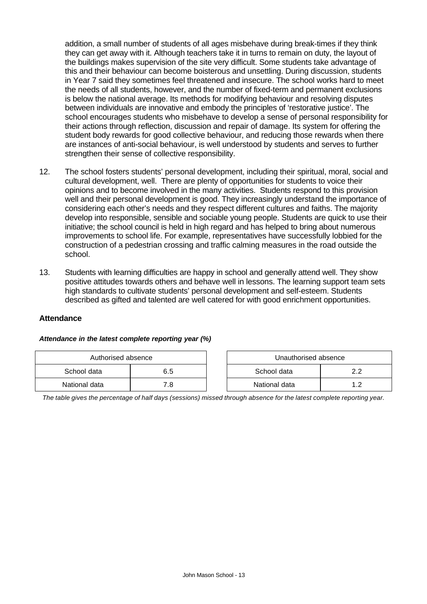addition, a small number of students of all ages misbehave during break-times if they think they can get away with it. Although teachers take it in turns to remain on duty, the layout of the buildings makes supervision of the site very difficult. Some students take advantage of this and their behaviour can become boisterous and unsettling. During discussion, students in Year 7 said they sometimes feel threatened and insecure. The school works hard to meet the needs of all students, however, and the number of fixed-term and permanent exclusions is below the national average. Its methods for modifying behaviour and resolving disputes between individuals are innovative and embody the principles of 'restorative justice'. The school encourages students who misbehave to develop a sense of personal responsibility for their actions through reflection, discussion and repair of damage. Its system for offering the student body rewards for good collective behaviour, and reducing those rewards when there are instances of anti-social behaviour, is well understood by students and serves to further strengthen their sense of collective responsibility.

- 12. The school fosters students' personal development, including their spiritual, moral, social and cultural development, well. There are plenty of opportunities for students to voice their opinions and to become involved in the many activities. Students respond to this provision well and their personal development is good. They increasingly understand the importance of considering each other's needs and they respect different cultures and faiths. The majority develop into responsible, sensible and sociable young people. Students are quick to use their initiative; the school council is held in high regard and has helped to bring about numerous improvements to school life. For example, representatives have successfully lobbied for the construction of a pedestrian crossing and traffic calming measures in the road outside the school.
- 13. Students with learning difficulties are happy in school and generally attend well. They show positive attitudes towards others and behave well in lessons. The learning support team sets high standards to cultivate students' personal development and self-esteem. Students described as gifted and talented are well catered for with good enrichment opportunities.

#### **Attendance**

#### *Attendance in the latest complete reporting year (%)*

| Authorised absence |     | Unauthorised absence |     |
|--------------------|-----|----------------------|-----|
| School data        | 6.5 | School data          |     |
| National data      | 7.8 | National data        | 1.2 |

| Unauthorised absence |    |  |  |  |
|----------------------|----|--|--|--|
| School data<br>22    |    |  |  |  |
| National data        | 12 |  |  |  |

*The table gives the percentage of half days (sessions) missed through absence for the latest complete reporting year.*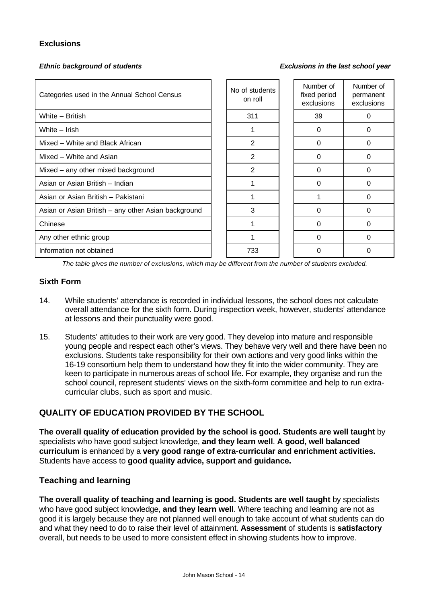## **Exclusions**

*Ethnic background of students Exclusions in the last school year*

| Categories used in the Annual School Census         | No of students<br>on roll | Number of<br>fixed period<br>exclusions | Number of<br>permanent<br>exclusions |
|-----------------------------------------------------|---------------------------|-----------------------------------------|--------------------------------------|
| White - British                                     | 311                       | 39                                      | 0                                    |
| White - Irish                                       |                           | $\Omega$                                | $\Omega$                             |
| Mixed - White and Black African                     | 2                         | 0                                       | $\Omega$                             |
| Mixed - White and Asian                             | 2                         | 0                                       | 0                                    |
| Mixed - any other mixed background                  | $\overline{2}$            | 0                                       | 0                                    |
| Asian or Asian British - Indian                     |                           | 0                                       | 0                                    |
| Asian or Asian British - Pakistani                  |                           |                                         | 0                                    |
| Asian or Asian British - any other Asian background | 3                         | 0                                       | $\Omega$                             |
| Chinese                                             |                           | 0                                       | 0                                    |
| Any other ethnic group                              |                           | 0                                       | $\Omega$                             |
| Information not obtained                            | 733                       |                                         | O                                    |

*The table gives the number of exclusions, which may be different from the number of students excluded.*

#### **Sixth Form**

- 14. While students' attendance is recorded in individual lessons, the school does not calculate overall attendance for the sixth form. During inspection week, however, students' attendance at lessons and their punctuality were good.
- 15. Students' attitudes to their work are very good. They develop into mature and responsible young people and respect each other's views. They behave very well and there have been no exclusions. Students take responsibility for their own actions and very good links within the 16-19 consortium help them to understand how they fit into the wider community. They are keen to participate in numerous areas of school life. For example, they organise and run the school council, represent students' views on the sixth-form committee and help to run extracurricular clubs, such as sport and music.

# **QUALITY OF EDUCATION PROVIDED BY THE SCHOOL**

**The overall quality of education provided by the school is good. Students are well taught** by specialists who have good subject knowledge, **and they learn well**. **A good, well balanced curriculum** is enhanced by a **very good range of extra-curricular and enrichment activities.** Students have access to **good quality advice, support and guidance.** 

# **Teaching and learning**

**The overall quality of teaching and learning is good. Students are well taught** by specialists who have good subject knowledge, **and they learn well**. Where teaching and learning are not as good it is largely because they are not planned well enough to take account of what students can do and what they need to do to raise their level of attainment. **Assessment** of students is **satisfactory** overall, but needs to be used to more consistent effect in showing students how to improve.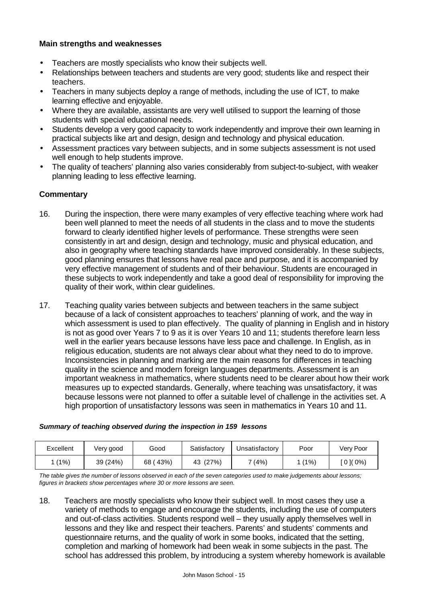#### **Main strengths and weaknesses**

- Teachers are mostly specialists who know their subjects well.
- Relationships between teachers and students are very good; students like and respect their teachers.
- Teachers in many subjects deploy a range of methods, including the use of ICT, to make learning effective and enjoyable.
- Where they are available, assistants are very well utilised to support the learning of those students with special educational needs.
- Students develop a very good capacity to work independently and improve their own learning in practical subjects like art and design, design and technology and physical education.
- Assessment practices vary between subjects, and in some subjects assessment is not used well enough to help students improve.
- The quality of teachers' planning also varies considerably from subject-to-subject, with weaker planning leading to less effective learning.

#### **Commentary**

- 16. During the inspection, there were many examples of very effective teaching where work had been well planned to meet the needs of all students in the class and to move the students forward to clearly identified higher levels of performance. These strengths were seen consistently in art and design, design and technology, music and physical education, and also in geography where teaching standards have improved considerably. In these subjects, good planning ensures that lessons have real pace and purpose, and it is accompanied by very effective management of students and of their behaviour. Students are encouraged in these subjects to work independently and take a good deal of responsibility for improving the quality of their work, within clear guidelines.
- 17. Teaching quality varies between subjects and between teachers in the same subject because of a lack of consistent approaches to teachers' planning of work, and the way in which assessment is used to plan effectively. The quality of planning in English and in history is not as good over Years 7 to 9 as it is over Years 10 and 11; students therefore learn less well in the earlier years because lessons have less pace and challenge. In English, as in religious education, students are not always clear about what they need to do to improve. Inconsistencies in planning and marking are the main reasons for differences in teaching quality in the science and modern foreign languages departments. Assessment is an important weakness in mathematics, where students need to be clearer about how their work measures up to expected standards. Generally, where teaching was unsatisfactory, it was because lessons were not planned to offer a suitable level of challenge in the activities set. A high proportion of unsatisfactory lessons was seen in mathematics in Years 10 and 11.

| Excellent | Very good | Good      | Satisfactory | Unsatisfactory | Poor    | Very Poor |
|-----------|-----------|-----------|--------------|----------------|---------|-----------|
| (1%)      | 39 (24%)  | 43%<br>68 | 43 (27%)     | 7 (4%)         | $(1\%)$ | $01(0\%)$ |

#### *Summary of teaching observed during the inspection in 159 lessons*

*The table gives the number of lessons observed in each of the seven categories used to make judgements about lessons; figures in brackets show percentages where 30 or more lessons are seen.*

18. Teachers are mostly specialists who know their subject well. In most cases they use a variety of methods to engage and encourage the students, including the use of computers and out-of-class activities. Students respond well – they usually apply themselves well in lessons and they like and respect their teachers. Parents' and students' comments and questionnaire returns, and the quality of work in some books, indicated that the setting, completion and marking of homework had been weak in some subjects in the past. The school has addressed this problem, by introducing a system whereby homework is available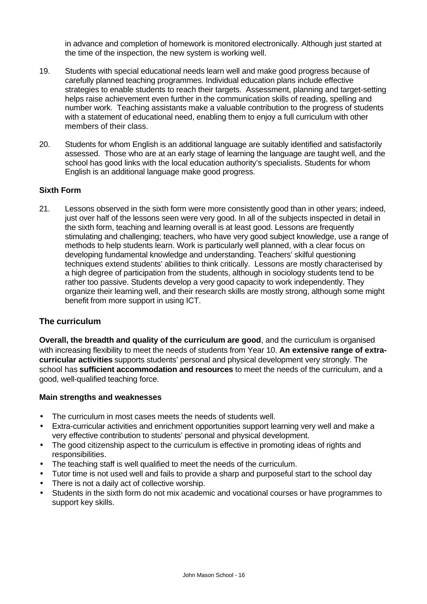in advance and completion of homework is monitored electronically. Although just started at the time of the inspection, the new system is working well.

- 19. Students with special educational needs learn well and make good progress because of carefully planned teaching programmes. Individual education plans include effective strategies to enable students to reach their targets. Assessment, planning and target-setting helps raise achievement even further in the communication skills of reading, spelling and number work. Teaching assistants make a valuable contribution to the progress of students with a statement of educational need, enabling them to enjoy a full curriculum with other members of their class.
- 20. Students for whom English is an additional language are suitably identified and satisfactorily assessed. Those who are at an early stage of learning the language are taught well, and the school has good links with the local education authority's specialists. Students for whom English is an additional language make good progress.

#### **Sixth Form**

21. Lessons observed in the sixth form were more consistently good than in other years; indeed, just over half of the lessons seen were very good. In all of the subjects inspected in detail in the sixth form, teaching and learning overall is at least good. Lessons are frequently stimulating and challenging; teachers, who have very good subject knowledge, use a range of methods to help students learn. Work is particularly well planned, with a clear focus on developing fundamental knowledge and understanding. Teachers' skilful questioning techniques extend students' abilities to think critically. Lessons are mostly characterised by a high degree of participation from the students, although in sociology students tend to be rather too passive. Students develop a very good capacity to work independently. They organize their learning well, and their research skills are mostly strong, although some might benefit from more support in using ICT.

#### **The curriculum**

**Overall, the breadth and quality of the curriculum are good**, and the curriculum is organised with increasing flexibility to meet the needs of students from Year 10. **An extensive range of extracurricular activities** supports students' personal and physical development very strongly. The school has **sufficient accommodation and resources** to meet the needs of the curriculum, and a good, well-qualified teaching force.

- The curriculum in most cases meets the needs of students well.
- Extra-curricular activities and enrichment opportunities support learning very well and make a very effective contribution to students' personal and physical development.
- The good citizenship aspect to the curriculum is effective in promoting ideas of rights and responsibilities.
- The teaching staff is well qualified to meet the needs of the curriculum.
- Tutor time is not used well and fails to provide a sharp and purposeful start to the school day
- There is not a daily act of collective worship.
- Students in the sixth form do not mix academic and vocational courses or have programmes to support key skills.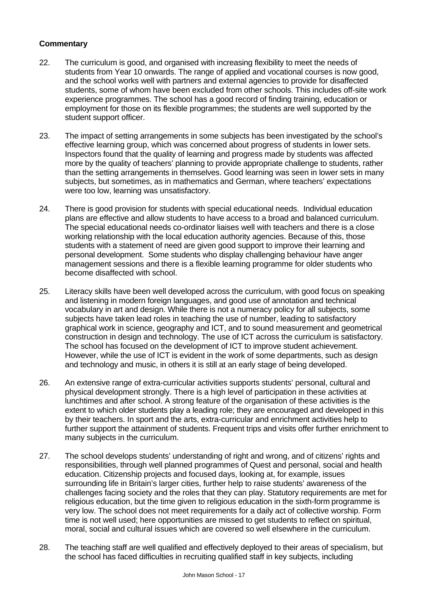- 22. The curriculum is good, and organised with increasing flexibility to meet the needs of students from Year 10 onwards. The range of applied and vocational courses is now good, and the school works well with partners and external agencies to provide for disaffected students, some of whom have been excluded from other schools. This includes off-site work experience programmes. The school has a good record of finding training, education or employment for those on its flexible programmes; the students are well supported by the student support officer.
- 23. The impact of setting arrangements in some subjects has been investigated by the school's effective learning group, which was concerned about progress of students in lower sets. Inspectors found that the quality of learning and progress made by students was affected more by the quality of teachers' planning to provide appropriate challenge to students, rather than the setting arrangements in themselves. Good learning was seen in lower sets in many subjects, but sometimes, as in mathematics and German, where teachers' expectations were too low, learning was unsatisfactory.
- 24. There is good provision for students with special educational needs. Individual education plans are effective and allow students to have access to a broad and balanced curriculum. The special educational needs co-ordinator liaises well with teachers and there is a close working relationship with the local education authority agencies. Because of this, those students with a statement of need are given good support to improve their learning and personal development. Some students who display challenging behaviour have anger management sessions and there is a flexible learning programme for older students who become disaffected with school.
- 25. Literacy skills have been well developed across the curriculum, with good focus on speaking and listening in modern foreign languages, and good use of annotation and technical vocabulary in art and design. While there is not a numeracy policy for all subjects, some subjects have taken lead roles in teaching the use of number, leading to satisfactory graphical work in science, geography and ICT, and to sound measurement and geometrical construction in design and technology. The use of ICT across the curriculum is satisfactory. The school has focused on the development of ICT to improve student achievement. However, while the use of ICT is evident in the work of some departments, such as design and technology and music, in others it is still at an early stage of being developed.
- 26. An extensive range of extra-curricular activities supports students' personal, cultural and physical development strongly. There is a high level of participation in these activities at lunchtimes and after school. A strong feature of the organisation of these activities is the extent to which older students play a leading role; they are encouraged and developed in this by their teachers. In sport and the arts, extra-curricular and enrichment activities help to further support the attainment of students. Frequent trips and visits offer further enrichment to many subjects in the curriculum.
- 27. The school develops students' understanding of right and wrong, and of citizens' rights and responsibilities, through well planned programmes of Quest and personal, social and health education. Citizenship projects and focused days, looking at, for example, issues surrounding life in Britain's larger cities, further help to raise students' awareness of the challenges facing society and the roles that they can play. Statutory requirements are met for religious education, but the time given to religious education in the sixth-form programme is very low. The school does not meet requirements for a daily act of collective worship. Form time is not well used; here opportunities are missed to get students to reflect on spiritual, moral, social and cultural issues which are covered so well elsewhere in the curriculum.
- 28. The teaching staff are well qualified and effectively deployed to their areas of specialism, but the school has faced difficulties in recruiting qualified staff in key subjects, including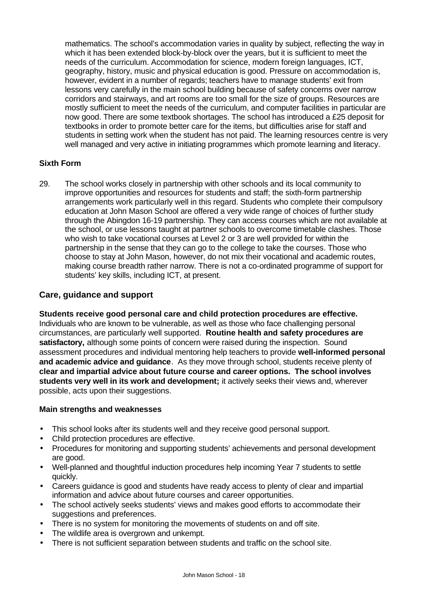mathematics. The school's accommodation varies in quality by subject, reflecting the way in which it has been extended block-by-block over the years, but it is sufficient to meet the needs of the curriculum. Accommodation for science, modern foreign languages, ICT, geography, history, music and physical education is good. Pressure on accommodation is, however, evident in a number of regards; teachers have to manage students' exit from lessons very carefully in the main school building because of safety concerns over narrow corridors and stairways, and art rooms are too small for the size of groups. Resources are mostly sufficient to meet the needs of the curriculum, and computer facilities in particular are now good. There are some textbook shortages. The school has introduced a £25 deposit for textbooks in order to promote better care for the items, but difficulties arise for staff and students in setting work when the student has not paid. The learning resources centre is very well managed and very active in initiating programmes which promote learning and literacy.

### **Sixth Form**

29. The school works closely in partnership with other schools and its local community to improve opportunities and resources for students and staff; the sixth-form partnership arrangements work particularly well in this regard. Students who complete their compulsory education at John Mason School are offered a very wide range of choices of further study through the Abingdon 16-19 partnership. They can access courses which are not available at the school, or use lessons taught at partner schools to overcome timetable clashes. Those who wish to take vocational courses at Level 2 or 3 are well provided for within the partnership in the sense that they can go to the college to take the courses. Those who choose to stay at John Mason, however, do not mix their vocational and academic routes, making course breadth rather narrow. There is not a co-ordinated programme of support for students' key skills, including ICT, at present.

# **Care, guidance and support**

**Students receive good personal care and child protection procedures are effective.** Individuals who are known to be vulnerable, as well as those who face challenging personal circumstances, are particularly well supported. **Routine health and safety procedures are satisfactory,** although some points of concern were raised during the inspection. Sound assessment procedures and individual mentoring help teachers to provide **well-informed personal and academic advice and guidance**. As they move through school, students receive plenty of **clear and impartial advice about future course and career options. The school involves students very well in its work and development;** it actively seeks their views and, wherever possible, acts upon their suggestions.

- This school looks after its students well and they receive good personal support.
- Child protection procedures are effective.
- Procedures for monitoring and supporting students' achievements and personal development are good.
- Well-planned and thoughtful induction procedures help incoming Year 7 students to settle quickly.
- Careers guidance is good and students have ready access to plenty of clear and impartial information and advice about future courses and career opportunities.
- The school actively seeks students' views and makes good efforts to accommodate their suggestions and preferences.
- There is no system for monitoring the movements of students on and off site.
- The wildlife area is overgrown and unkempt.
- There is not sufficient separation between students and traffic on the school site.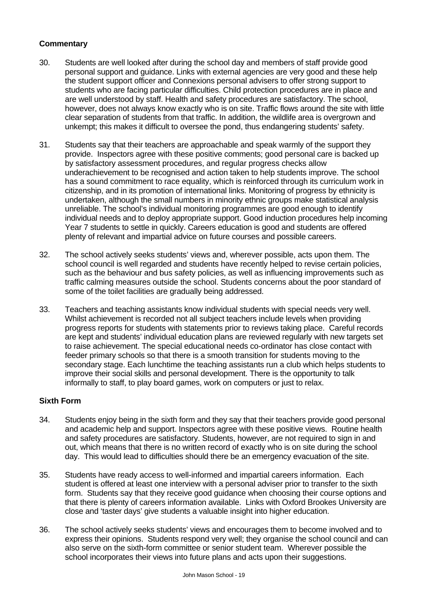- 30. Students are well looked after during the school day and members of staff provide good personal support and guidance. Links with external agencies are very good and these help the student support officer and Connexions personal advisers to offer strong support to students who are facing particular difficulties. Child protection procedures are in place and are well understood by staff. Health and safety procedures are satisfactory. The school, however, does not always know exactly who is on site. Traffic flows around the site with little clear separation of students from that traffic. In addition, the wildlife area is overgrown and unkempt; this makes it difficult to oversee the pond, thus endangering students' safety.
- 31. Students say that their teachers are approachable and speak warmly of the support they provide. Inspectors agree with these positive comments; good personal care is backed up by satisfactory assessment procedures, and regular progress checks allow underachievement to be recognised and action taken to help students improve. The school has a sound commitment to race equality, which is reinforced through its curriculum work in citizenship, and in its promotion of international links. Monitoring of progress by ethnicity is undertaken, although the small numbers in minority ethnic groups make statistical analysis unreliable. The school's individual monitoring programmes are good enough to identify individual needs and to deploy appropriate support. Good induction procedures help incoming Year 7 students to settle in quickly. Careers education is good and students are offered plenty of relevant and impartial advice on future courses and possible careers.
- 32. The school actively seeks students' views and, wherever possible, acts upon them. The school council is well regarded and students have recently helped to revise certain policies, such as the behaviour and bus safety policies, as well as influencing improvements such as traffic calming measures outside the school. Students concerns about the poor standard of some of the toilet facilities are gradually being addressed.
- 33. Teachers and teaching assistants know individual students with special needs very well. Whilst achievement is recorded not all subject teachers include levels when providing progress reports for students with statements prior to reviews taking place. Careful records are kept and students' individual education plans are reviewed regularly with new targets set to raise achievement. The special educational needs co-ordinator has close contact with feeder primary schools so that there is a smooth transition for students moving to the secondary stage. Each lunchtime the teaching assistants run a club which helps students to improve their social skills and personal development. There is the opportunity to talk informally to staff, to play board games, work on computers or just to relax.

#### **Sixth Form**

- 34. Students enjoy being in the sixth form and they say that their teachers provide good personal and academic help and support. Inspectors agree with these positive views. Routine health and safety procedures are satisfactory. Students, however, are not required to sign in and out, which means that there is no written record of exactly who is on site during the school day. This would lead to difficulties should there be an emergency evacuation of the site.
- 35. Students have ready access to well-informed and impartial careers information. Each student is offered at least one interview with a personal adviser prior to transfer to the sixth form. Students say that they receive good guidance when choosing their course options and that there is plenty of careers information available. Links with Oxford Brookes University are close and 'taster days' give students a valuable insight into higher education.
- 36. The school actively seeks students' views and encourages them to become involved and to express their opinions. Students respond very well; they organise the school council and can also serve on the sixth-form committee or senior student team. Wherever possible the school incorporates their views into future plans and acts upon their suggestions.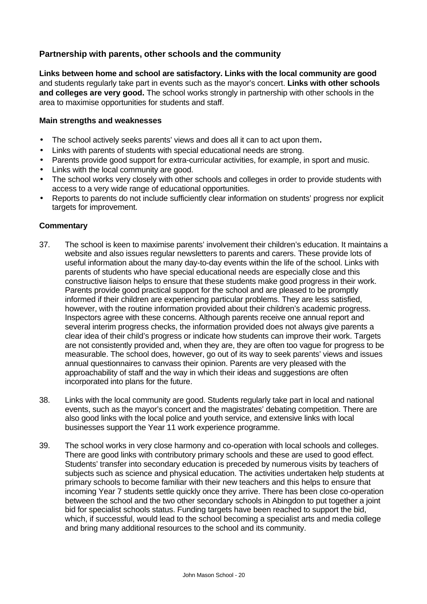# **Partnership with parents, other schools and the community**

**Links between home and school are satisfactory. Links with the local community are good** and students regularly take part in events such as the mayor's concert. **Links with other schools and colleges are very good.** The school works strongly in partnership with other schools in the area to maximise opportunities for students and staff.

#### **Main strengths and weaknesses**

- The school actively seeks parents' views and does all it can to act upon them**.**
- Links with parents of students with special educational needs are strong.
- Parents provide good support for extra-curricular activities, for example, in sport and music.
- Links with the local community are good.
- The school works very closely with other schools and colleges in order to provide students with access to a very wide range of educational opportunities.
- Reports to parents do not include sufficiently clear information on students' progress nor explicit targets for improvement.

- 37. The school is keen to maximise parents' involvement their children's education. It maintains a website and also issues regular newsletters to parents and carers. These provide lots of useful information about the many day-to-day events within the life of the school. Links with parents of students who have special educational needs are especially close and this constructive liaison helps to ensure that these students make good progress in their work. Parents provide good practical support for the school and are pleased to be promptly informed if their children are experiencing particular problems. They are less satisfied, however, with the routine information provided about their children's academic progress. Inspectors agree with these concerns. Although parents receive one annual report and several interim progress checks, the information provided does not always give parents a clear idea of their child's progress or indicate how students can improve their work. Targets are not consistently provided and, when they are, they are often too vague for progress to be measurable. The school does, however, go out of its way to seek parents' views and issues annual questionnaires to canvass their opinion. Parents are very pleased with the approachability of staff and the way in which their ideas and suggestions are often incorporated into plans for the future.
- 38. Links with the local community are good. Students regularly take part in local and national events, such as the mayor's concert and the magistrates' debating competition. There are also good links with the local police and youth service, and extensive links with local businesses support the Year 11 work experience programme.
- 39. The school works in very close harmony and co-operation with local schools and colleges. There are good links with contributory primary schools and these are used to good effect. Students' transfer into secondary education is preceded by numerous visits by teachers of subjects such as science and physical education. The activities undertaken help students at primary schools to become familiar with their new teachers and this helps to ensure that incoming Year 7 students settle quickly once they arrive. There has been close co-operation between the school and the two other secondary schools in Abingdon to put together a joint bid for specialist schools status. Funding targets have been reached to support the bid, which, if successful, would lead to the school becoming a specialist arts and media college and bring many additional resources to the school and its community.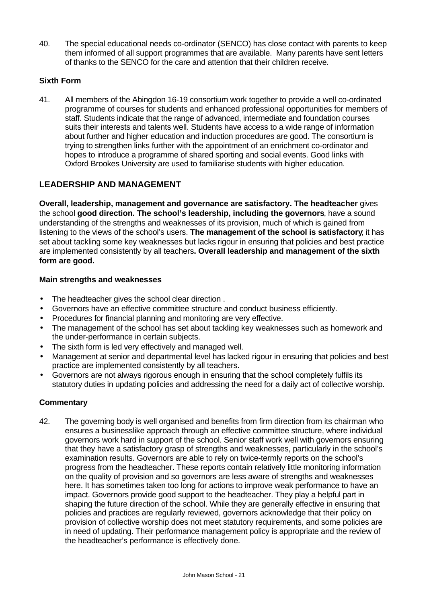40. The special educational needs co-ordinator (SENCO) has close contact with parents to keep them informed of all support programmes that are available. Many parents have sent letters of thanks to the SENCO for the care and attention that their children receive.

# **Sixth Form**

41. All members of the Abingdon 16-19 consortium work together to provide a well co-ordinated programme of courses for students and enhanced professional opportunities for members of staff. Students indicate that the range of advanced, intermediate and foundation courses suits their interests and talents well. Students have access to a wide range of information about further and higher education and induction procedures are good. The consortium is trying to strengthen links further with the appointment of an enrichment co-ordinator and hopes to introduce a programme of shared sporting and social events. Good links with Oxford Brookes University are used to familiarise students with higher education.

# **LEADERSHIP AND MANAGEMENT**

**Overall, leadership, management and governance are satisfactory. The headteacher** gives the school **good direction. The school's leadership, including the governors**, have a sound understanding of the strengths and weaknesses of its provision, much of which is gained from listening to the views of the school's users. **The management of the school is satisfactory**; it has set about tackling some key weaknesses but lacks rigour in ensuring that policies and best practice are implemented consistently by all teachers**. Overall leadership and management of the sixth form are good.**

#### **Main strengths and weaknesses**

- The headteacher gives the school clear direction .
- Governors have an effective committee structure and conduct business efficiently.
- Procedures for financial planning and monitoring are very effective.
- The management of the school has set about tackling key weaknesses such as homework and the under-performance in certain subjects.
- The sixth form is led very effectively and managed well.
- Management at senior and departmental level has lacked rigour in ensuring that policies and best practice are implemented consistently by all teachers.
- Governors are not always rigorous enough in ensuring that the school completely fulfils its statutory duties in updating policies and addressing the need for a daily act of collective worship.

#### **Commentary**

42. The governing body is well organised and benefits from firm direction from its chairman who ensures a businesslike approach through an effective committee structure, where individual governors work hard in support of the school. Senior staff work well with governors ensuring that they have a satisfactory grasp of strengths and weaknesses, particularly in the school's examination results. Governors are able to rely on twice-termly reports on the school's progress from the headteacher. These reports contain relatively little monitoring information on the quality of provision and so governors are less aware of strengths and weaknesses here. It has sometimes taken too long for actions to improve weak performance to have an impact. Governors provide good support to the headteacher. They play a helpful part in shaping the future direction of the school. While they are generally effective in ensuring that policies and practices are regularly reviewed, governors acknowledge that their policy on provision of collective worship does not meet statutory requirements, and some policies are in need of updating. Their performance management policy is appropriate and the review of the headteacher's performance is effectively done.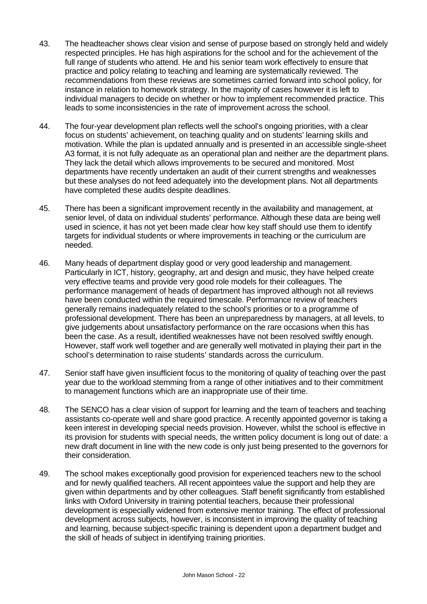- 43. The headteacher shows clear vision and sense of purpose based on strongly held and widely respected principles. He has high aspirations for the school and for the achievement of the full range of students who attend. He and his senior team work effectively to ensure that practice and policy relating to teaching and learning are systematically reviewed. The recommendations from these reviews are sometimes carried forward into school policy, for instance in relation to homework strategy. In the majority of cases however it is left to individual managers to decide on whether or how to implement recommended practice. This leads to some inconsistencies in the rate of improvement across the school.
- 44. The four-year development plan reflects well the school's ongoing priorities, with a clear focus on students' achievement, on teaching quality and on students' learning skills and motivation. While the plan is updated annually and is presented in an accessible single-sheet A3 format, it is not fully adequate as an operational plan and neither are the department plans. They lack the detail which allows improvements to be secured and monitored. Most departments have recently undertaken an audit of their current strengths and weaknesses but these analyses do not feed adequately into the development plans. Not all departments have completed these audits despite deadlines.
- 45. There has been a significant improvement recently in the availability and management, at senior level, of data on individual students' performance. Although these data are being well used in science, it has not yet been made clear how key staff should use them to identify targets for individual students or where improvements in teaching or the curriculum are needed.
- 46. Many heads of department display good or very good leadership and management. Particularly in ICT, history, geography, art and design and music, they have helped create very effective teams and provide very good role models for their colleagues. The performance management of heads of department has improved although not all reviews have been conducted within the required timescale. Performance review of teachers generally remains inadequately related to the school's priorities or to a programme of professional development. There has been an unpreparedness by managers, at all levels, to give judgements about unsatisfactory performance on the rare occasions when this has been the case. As a result, identified weaknesses have not been resolved swiftly enough. However, staff work well together and are generally well motivated in playing their part in the school's determination to raise students' standards across the curriculum.
- 47. Senior staff have given insufficient focus to the monitoring of quality of teaching over the past year due to the workload stemming from a range of other initiatives and to their commitment to management functions which are an inappropriate use of their time.
- 48. The SENCO has a clear vision of support for learning and the team of teachers and teaching assistants co-operate well and share good practice. A recently appointed governor is taking a keen interest in developing special needs provision. However, whilst the school is effective in its provision for students with special needs, the written policy document is long out of date: a new draft document in line with the new code is only just being presented to the governors for their consideration.
- 49. The school makes exceptionally good provision for experienced teachers new to the school and for newly qualified teachers. All recent appointees value the support and help they are given within departments and by other colleagues. Staff benefit significantly from established links with Oxford University in training potential teachers, because their professional development is especially widened from extensive mentor training. The effect of professional development across subjects, however, is inconsistent in improving the quality of teaching and learning, because subject-specific training is dependent upon a department budget and the skill of heads of subject in identifying training priorities.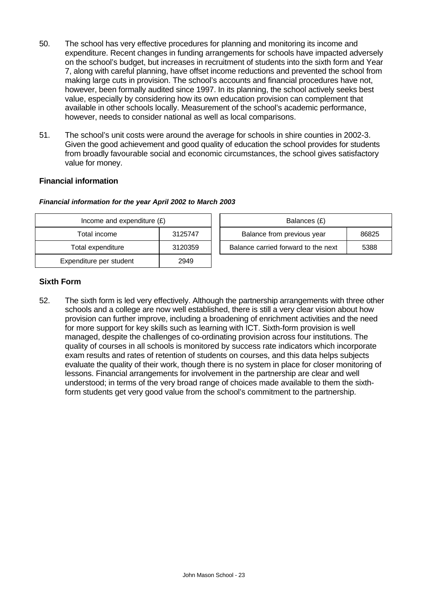- 50. The school has very effective procedures for planning and monitoring its income and expenditure. Recent changes in funding arrangements for schools have impacted adversely on the school's budget, but increases in recruitment of students into the sixth form and Year 7, along with careful planning, have offset income reductions and prevented the school from making large cuts in provision. The school's accounts and financial procedures have not, however, been formally audited since 1997. In its planning, the school actively seeks best value, especially by considering how its own education provision can complement that available in other schools locally. Measurement of the school's academic performance, however, needs to consider national as well as local comparisons.
- 51. The school's unit costs were around the average for schools in shire counties in 2002-3. Given the good achievement and good quality of education the school provides for students from broadly favourable social and economic circumstances, the school gives satisfactory value for money.

### **Financial information**

| Income and expenditure $(E)$ |         |  |  |  |  |
|------------------------------|---------|--|--|--|--|
| Total income                 | 3125747 |  |  |  |  |
| Total expenditure            | 3120359 |  |  |  |  |
| Expenditure per student      | 2949    |  |  |  |  |

*Financial information for the year April 2002 to March 2003*

| Income and expenditure $(E)$ | Balances (£) |
|------------------------------|--------------|

| Income and expenditure $(E)$ |         |  | Balances (£)                        |       |  |  |  |
|------------------------------|---------|--|-------------------------------------|-------|--|--|--|
| Total income                 | 3125747 |  | Balance from previous year          | 86825 |  |  |  |
| Total expenditure            | 3120359 |  | Balance carried forward to the next | 5388  |  |  |  |

# **Sixth Form**

52. The sixth form is led very effectively. Although the partnership arrangements with three other schools and a college are now well established, there is still a very clear vision about how provision can further improve, including a broadening of enrichment activities and the need for more support for key skills such as learning with ICT. Sixth-form provision is well managed, despite the challenges of co-ordinating provision across four institutions. The quality of courses in all schools is monitored by success rate indicators which incorporate exam results and rates of retention of students on courses, and this data helps subjects evaluate the quality of their work, though there is no system in place for closer monitoring of lessons. Financial arrangements for involvement in the partnership are clear and well understood; in terms of the very broad range of choices made available to them the sixthform students get very good value from the school's commitment to the partnership.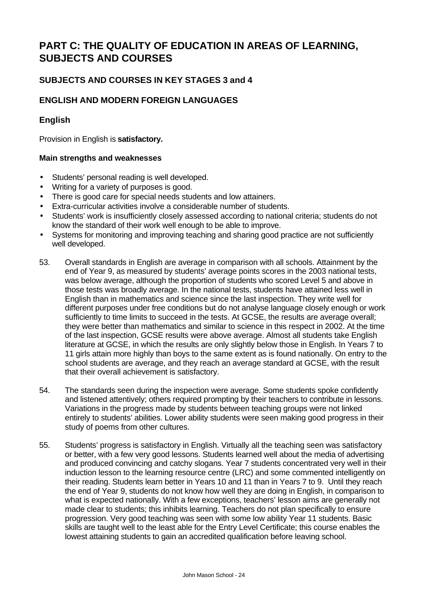# **PART C: THE QUALITY OF EDUCATION IN AREAS OF LEARNING, SUBJECTS AND COURSES**

# **SUBJECTS AND COURSES IN KEY STAGES 3 and 4**

# **ENGLISH AND MODERN FOREIGN LANGUAGES**

## **English**

Provision in English is **satisfactory.**

- Students' personal reading is well developed.
- Writing for a variety of purposes is good.
- There is good care for special needs students and low attainers.
- Extra-curricular activities involve a considerable number of students.
- Students' work is insufficiently closely assessed according to national criteria; students do not know the standard of their work well enough to be able to improve.
- Systems for monitoring and improving teaching and sharing good practice are not sufficiently well developed.
- 53. Overall standards in English are average in comparison with all schools. Attainment by the end of Year 9, as measured by students' average points scores in the 2003 national tests, was below average, although the proportion of students who scored Level 5 and above in those tests was broadly average. In the national tests, students have attained less well in English than in mathematics and science since the last inspection. They write well for different purposes under free conditions but do not analyse language closely enough or work sufficiently to time limits to succeed in the tests. At GCSE, the results are average overall; they were better than mathematics and similar to science in this respect in 2002. At the time of the last inspection, GCSE results were above average. Almost all students take English literature at GCSE, in which the results are only slightly below those in English. In Years 7 to 11 girls attain more highly than boys to the same extent as is found nationally. On entry to the school students are average, and they reach an average standard at GCSE, with the result that their overall achievement is satisfactory.
- 54. The standards seen during the inspection were average. Some students spoke confidently and listened attentively; others required prompting by their teachers to contribute in lessons. Variations in the progress made by students between teaching groups were not linked entirely to students' abilities. Lower ability students were seen making good progress in their study of poems from other cultures.
- 55. Students' progress is satisfactory in English. Virtually all the teaching seen was satisfactory or better, with a few very good lessons. Students learned well about the media of advertising and produced convincing and catchy slogans. Year 7 students concentrated very well in their induction lesson to the learning resource centre (LRC) and some commented intelligently on their reading. Students learn better in Years 10 and 11 than in Years 7 to 9. Until they reach the end of Year 9, students do not know how well they are doing in English, in comparison to what is expected nationally. With a few exceptions, teachers' lesson aims are generally not made clear to students; this inhibits learning. Teachers do not plan specifically to ensure progression. Very good teaching was seen with some low ability Year 11 students. Basic skills are taught well to the least able for the Entry Level Certificate; this course enables the lowest attaining students to gain an accredited qualification before leaving school.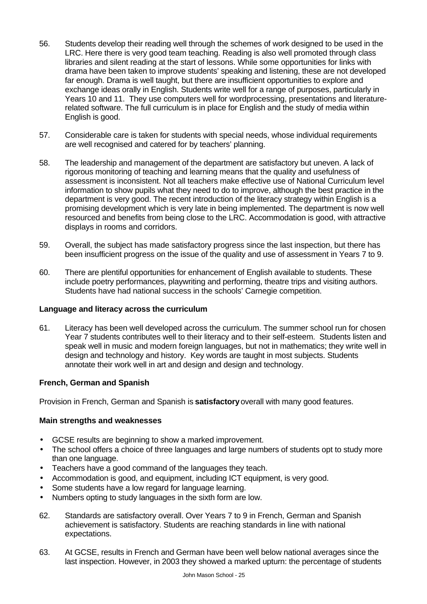- 56. Students develop their reading well through the schemes of work designed to be used in the LRC. Here there is very good team teaching. Reading is also well promoted through class libraries and silent reading at the start of lessons. While some opportunities for links with drama have been taken to improve students' speaking and listening, these are not developed far enough. Drama is well taught, but there are insufficient opportunities to explore and exchange ideas orally in English. Students write well for a range of purposes, particularly in Years 10 and 11. They use computers well for wordprocessing, presentations and literaturerelated software. The full curriculum is in place for English and the study of media within English is good.
- 57. Considerable care is taken for students with special needs, whose individual requirements are well recognised and catered for by teachers' planning.
- 58. The leadership and management of the department are satisfactory but uneven. A lack of rigorous monitoring of teaching and learning means that the quality and usefulness of assessment is inconsistent. Not all teachers make effective use of National Curriculum level information to show pupils what they need to do to improve, although the best practice in the department is very good. The recent introduction of the literacy strategy within English is a promising development which is very late in being implemented. The department is now well resourced and benefits from being close to the LRC. Accommodation is good, with attractive displays in rooms and corridors.
- 59. Overall, the subject has made satisfactory progress since the last inspection, but there has been insufficient progress on the issue of the quality and use of assessment in Years 7 to 9.
- 60. There are plentiful opportunities for enhancement of English available to students. These include poetry performances, playwriting and performing, theatre trips and visiting authors. Students have had national success in the schools' Carnegie competition.

#### **Language and literacy across the curriculum**

61. Literacy has been well developed across the curriculum. The summer school run for chosen Year 7 students contributes well to their literacy and to their self-esteem. Students listen and speak well in music and modern foreign languages, but not in mathematics; they write well in design and technology and history. Key words are taught in most subjects. Students annotate their work well in art and design and design and technology.

#### **French, German and Spanish**

Provision in French, German and Spanish is **satisfactory** overall with many good features.

- GCSE results are beginning to show a marked improvement.
- The school offers a choice of three languages and large numbers of students opt to study more than one language.
- Teachers have a good command of the languages they teach.
- Accommodation is good, and equipment, including ICT equipment, is very good.
- Some students have a low regard for language learning.
- Numbers opting to study languages in the sixth form are low.
- 62. Standards are satisfactory overall. Over Years 7 to 9 in French, German and Spanish achievement is satisfactory. Students are reaching standards in line with national expectations.
- 63. At GCSE, results in French and German have been well below national averages since the last inspection. However, in 2003 they showed a marked upturn: the percentage of students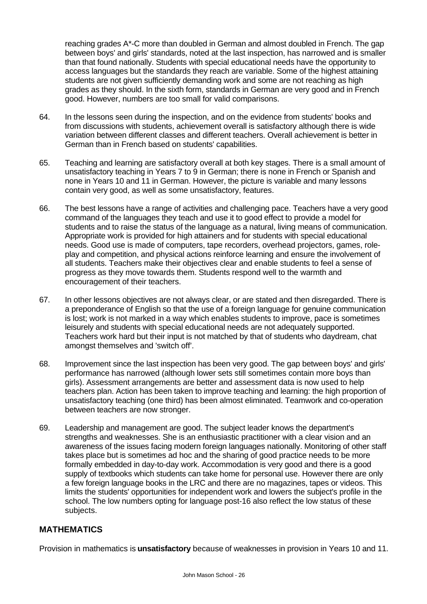reaching grades A\*-C more than doubled in German and almost doubled in French. The gap between boys' and girls' standards, noted at the last inspection, has narrowed and is smaller than that found nationally. Students with special educational needs have the opportunity to access languages but the standards they reach are variable. Some of the highest attaining students are not given sufficiently demanding work and some are not reaching as high grades as they should. In the sixth form, standards in German are very good and in French good. However, numbers are too small for valid comparisons.

- 64. In the lessons seen during the inspection, and on the evidence from students' books and from discussions with students, achievement overall is satisfactory although there is wide variation between different classes and different teachers. Overall achievement is better in German than in French based on students' capabilities.
- 65. Teaching and learning are satisfactory overall at both key stages. There is a small amount of unsatisfactory teaching in Years 7 to 9 in German; there is none in French or Spanish and none in Years 10 and 11 in German. However, the picture is variable and many lessons contain very good, as well as some unsatisfactory, features.
- 66. The best lessons have a range of activities and challenging pace. Teachers have a very good command of the languages they teach and use it to good effect to provide a model for students and to raise the status of the language as a natural, living means of communication. Appropriate work is provided for high attainers and for students with special educational needs. Good use is made of computers, tape recorders, overhead projectors, games, roleplay and competition, and physical actions reinforce learning and ensure the involvement of all students. Teachers make their objectives clear and enable students to feel a sense of progress as they move towards them. Students respond well to the warmth and encouragement of their teachers.
- 67. In other lessons objectives are not always clear, or are stated and then disregarded. There is a preponderance of English so that the use of a foreign language for genuine communication is lost; work is not marked in a way which enables students to improve, pace is sometimes leisurely and students with special educational needs are not adequately supported. Teachers work hard but their input is not matched by that of students who daydream, chat amongst themselves and 'switch off'.
- 68. Improvement since the last inspection has been very good. The gap between boys' and girls' performance has narrowed (although lower sets still sometimes contain more boys than girls). Assessment arrangements are better and assessment data is now used to help teachers plan. Action has been taken to improve teaching and learning: the high proportion of unsatisfactory teaching (one third) has been almost eliminated. Teamwork and co-operation between teachers are now stronger.
- 69. Leadership and management are good. The subject leader knows the department's strengths and weaknesses. She is an enthusiastic practitioner with a clear vision and an awareness of the issues facing modern foreign languages nationally. Monitoring of other staff takes place but is sometimes ad hoc and the sharing of good practice needs to be more formally embedded in day-to-day work. Accommodation is very good and there is a good supply of textbooks which students can take home for personal use. However there are only a few foreign language books in the LRC and there are no magazines, tapes or videos. This limits the students' opportunities for independent work and lowers the subject's profile in the school. The low numbers opting for language post-16 also reflect the low status of these subjects.

# **MATHEMATICS**

Provision in mathematics is **unsatisfactory** because of weaknesses in provision in Years 10 and 11.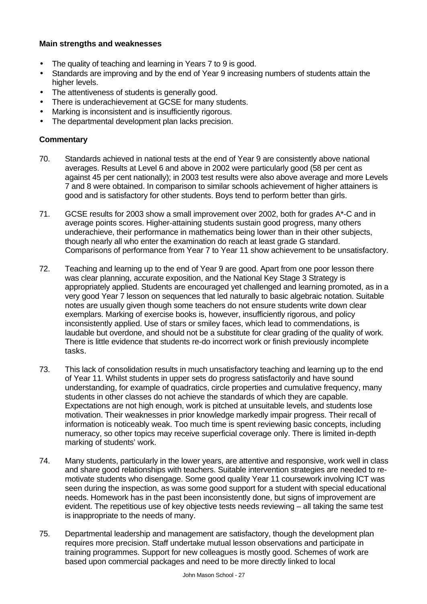#### **Main strengths and weaknesses**

- The quality of teaching and learning in Years 7 to 9 is good.
- Standards are improving and by the end of Year 9 increasing numbers of students attain the higher levels.
- The attentiveness of students is generally good.
- There is underachievement at GCSE for many students.
- Marking is inconsistent and is insufficiently rigorous.
- The departmental development plan lacks precision.

- 70. Standards achieved in national tests at the end of Year 9 are consistently above national averages. Results at Level 6 and above in 2002 were particularly good (58 per cent as against 45 per cent nationally); in 2003 test results were also above average and more Levels 7 and 8 were obtained. In comparison to similar schools achievement of higher attainers is good and is satisfactory for other students. Boys tend to perform better than girls.
- 71. GCSE results for 2003 show a small improvement over 2002, both for grades A\*-C and in average points scores. Higher-attaining students sustain good progress, many others underachieve, their performance in mathematics being lower than in their other subjects, though nearly all who enter the examination do reach at least grade G standard. Comparisons of performance from Year 7 to Year 11 show achievement to be unsatisfactory.
- 72. Teaching and learning up to the end of Year 9 are good. Apart from one poor lesson there was clear planning, accurate exposition, and the National Key Stage 3 Strategy is appropriately applied. Students are encouraged yet challenged and learning promoted, as in a very good Year 7 lesson on sequences that led naturally to basic algebraic notation. Suitable notes are usually given though some teachers do not ensure students write down clear exemplars. Marking of exercise books is, however, insufficiently rigorous, and policy inconsistently applied. Use of stars or smiley faces, which lead to commendations, is laudable but overdone, and should not be a substitute for clear grading of the quality of work. There is little evidence that students re-do incorrect work or finish previously incomplete tasks.
- 73. This lack of consolidation results in much unsatisfactory teaching and learning up to the end of Year 11. Whilst students in upper sets do progress satisfactorily and have sound understanding, for example of quadratics, circle properties and cumulative frequency, many students in other classes do not achieve the standards of which they are capable. Expectations are not high enough, work is pitched at unsuitable levels, and students lose motivation. Their weaknesses in prior knowledge markedly impair progress. Their recall of information is noticeably weak. Too much time is spent reviewing basic concepts, including numeracy, so other topics may receive superficial coverage only. There is limited in-depth marking of students' work.
- 74. Many students, particularly in the lower years, are attentive and responsive, work well in class and share good relationships with teachers. Suitable intervention strategies are needed to remotivate students who disengage. Some good quality Year 11 coursework involving ICT was seen during the inspection, as was some good support for a student with special educational needs. Homework has in the past been inconsistently done, but signs of improvement are evident. The repetitious use of key objective tests needs reviewing – all taking the same test is inappropriate to the needs of many.
- 75. Departmental leadership and management are satisfactory, though the development plan requires more precision. Staff undertake mutual lesson observations and participate in training programmes. Support for new colleagues is mostly good. Schemes of work are based upon commercial packages and need to be more directly linked to local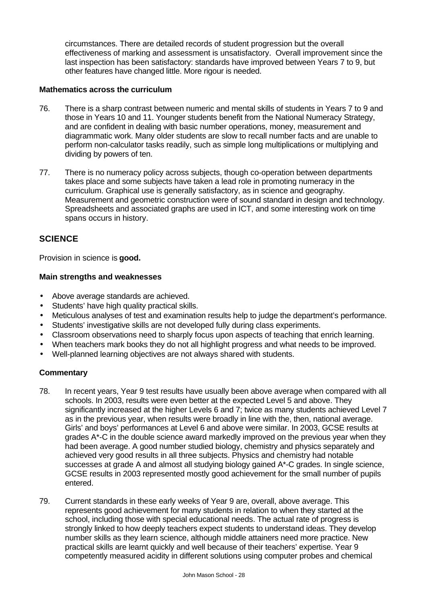circumstances. There are detailed records of student progression but the overall effectiveness of marking and assessment is unsatisfactory. Overall improvement since the last inspection has been satisfactory: standards have improved between Years 7 to 9, but other features have changed little. More rigour is needed.

#### **Mathematics across the curriculum**

- 76. There is a sharp contrast between numeric and mental skills of students in Years 7 to 9 and those in Years 10 and 11. Younger students benefit from the National Numeracy Strategy, and are confident in dealing with basic number operations, money, measurement and diagrammatic work. Many older students are slow to recall number facts and are unable to perform non-calculator tasks readily, such as simple long multiplications or multiplying and dividing by powers of ten.
- 77. There is no numeracy policy across subjects, though co-operation between departments takes place and some subjects have taken a lead role in promoting numeracy in the curriculum. Graphical use is generally satisfactory, as in science and geography. Measurement and geometric construction were of sound standard in design and technology. Spreadsheets and associated graphs are used in ICT, and some interesting work on time spans occurs in history.

# **SCIENCE**

Provision in science is **good.**

#### **Main strengths and weaknesses**

- Above average standards are achieved.
- Students' have high quality practical skills.
- Meticulous analyses of test and examination results help to judge the department's performance.
- Students' investigative skills are not developed fully during class experiments.
- Classroom observations need to sharply focus upon aspects of teaching that enrich learning.
- When teachers mark books they do not all highlight progress and what needs to be improved.
- Well-planned learning objectives are not always shared with students.

- 78. In recent years, Year 9 test results have usually been above average when compared with all schools. In 2003, results were even better at the expected Level 5 and above. They significantly increased at the higher Levels 6 and 7; twice as many students achieved Level 7 as in the previous year, when results were broadly in line with the, then, national average. Girls' and boys' performances at Level 6 and above were similar. In 2003, GCSE results at grades A\*-C in the double science award markedly improved on the previous year when they had been average. A good number studied biology, chemistry and physics separately and achieved very good results in all three subjects. Physics and chemistry had notable successes at grade A and almost all studying biology gained A\*-C grades. In single science, GCSE results in 2003 represented mostly good achievement for the small number of pupils entered.
- 79. Current standards in these early weeks of Year 9 are, overall, above average. This represents good achievement for many students in relation to when they started at the school, including those with special educational needs. The actual rate of progress is strongly linked to how deeply teachers expect students to understand ideas. They develop number skills as they learn science, although middle attainers need more practice. New practical skills are learnt quickly and well because of their teachers' expertise. Year 9 competently measured acidity in different solutions using computer probes and chemical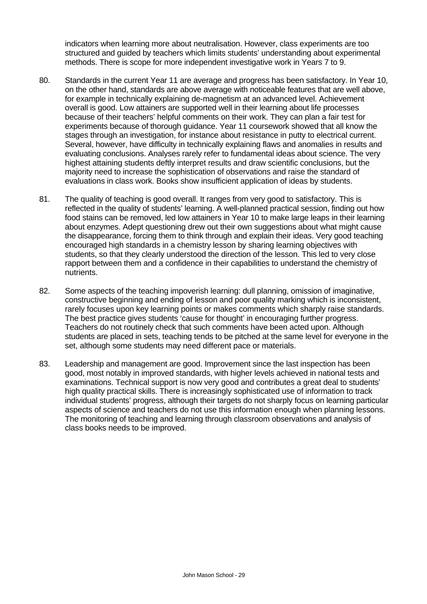indicators when learning more about neutralisation. However, class experiments are too structured and guided by teachers which limits students' understanding about experimental methods. There is scope for more independent investigative work in Years 7 to 9.

- 80. Standards in the current Year 11 are average and progress has been satisfactory. In Year 10, on the other hand, standards are above average with noticeable features that are well above, for example in technically explaining de-magnetism at an advanced level. Achievement overall is good. Low attainers are supported well in their learning about life processes because of their teachers' helpful comments on their work. They can plan a fair test for experiments because of thorough guidance. Year 11 coursework showed that all know the stages through an investigation, for instance about resistance in putty to electrical current. Several, however, have difficulty in technically explaining flaws and anomalies in results and evaluating conclusions. Analyses rarely refer to fundamental ideas about science. The very highest attaining students deftly interpret results and draw scientific conclusions, but the majority need to increase the sophistication of observations and raise the standard of evaluations in class work. Books show insufficient application of ideas by students.
- 81. The quality of teaching is good overall. It ranges from very good to satisfactory. This is reflected in the quality of students' learning. A well-planned practical session, finding out how food stains can be removed, led low attainers in Year 10 to make large leaps in their learning about enzymes. Adept questioning drew out their own suggestions about what might cause the disappearance, forcing them to think through and explain their ideas. Very good teaching encouraged high standards in a chemistry lesson by sharing learning objectives with students, so that they clearly understood the direction of the lesson. This led to very close rapport between them and a confidence in their capabilities to understand the chemistry of nutrients.
- 82. Some aspects of the teaching impoverish learning: dull planning, omission of imaginative, constructive beginning and ending of lesson and poor quality marking which is inconsistent, rarely focuses upon key learning points or makes comments which sharply raise standards. The best practice gives students 'cause for thought' in encouraging further progress. Teachers do not routinely check that such comments have been acted upon. Although students are placed in sets, teaching tends to be pitched at the same level for everyone in the set, although some students may need different pace or materials.
- 83. Leadership and management are good. Improvement since the last inspection has been good, most notably in improved standards, with higher levels achieved in national tests and examinations. Technical support is now very good and contributes a great deal to students' high quality practical skills. There is increasingly sophisticated use of information to track individual students' progress, although their targets do not sharply focus on learning particular aspects of science and teachers do not use this information enough when planning lessons. The monitoring of teaching and learning through classroom observations and analysis of class books needs to be improved.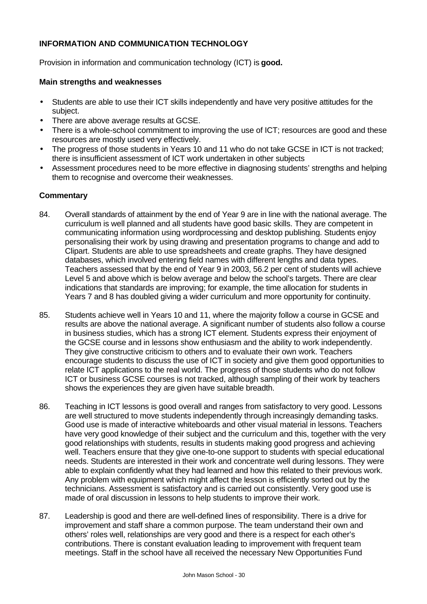### **INFORMATION AND COMMUNICATION TECHNOLOGY**

Provision in information and communication technology (ICT) is **good.**

#### **Main strengths and weaknesses**

- Students are able to use their ICT skills independently and have very positive attitudes for the subject.
- There are above average results at GCSE.
- There is a whole-school commitment to improving the use of ICT; resources are good and these resources are mostly used very effectively.
- The progress of those students in Years 10 and 11 who do not take GCSE in ICT is not tracked; there is insufficient assessment of ICT work undertaken in other subjects
- Assessment procedures need to be more effective in diagnosing students' strengths and helping them to recognise and overcome their weaknesses.

- 84. Overall standards of attainment by the end of Year 9 are in line with the national average. The curriculum is well planned and all students have good basic skills. They are competent in communicating information using wordprocessing and desktop publishing. Students enjoy personalising their work by using drawing and presentation programs to change and add to Clipart. Students are able to use spreadsheets and create graphs. They have designed databases, which involved entering field names with different lengths and data types. Teachers assessed that by the end of Year 9 in 2003, 56.2 per cent of students will achieve Level 5 and above which is below average and below the school's targets. There are clear indications that standards are improving; for example, the time allocation for students in Years 7 and 8 has doubled giving a wider curriculum and more opportunity for continuity.
- 85. Students achieve well in Years 10 and 11, where the majority follow a course in GCSE and results are above the national average. A significant number of students also follow a course in business studies, which has a strong ICT element. Students express their enjoyment of the GCSE course and in lessons show enthusiasm and the ability to work independently. They give constructive criticism to others and to evaluate their own work. Teachers encourage students to discuss the use of ICT in society and give them good opportunities to relate ICT applications to the real world. The progress of those students who do not follow ICT or business GCSE courses is not tracked, although sampling of their work by teachers shows the experiences they are given have suitable breadth.
- 86. Teaching in ICT lessons is good overall and ranges from satisfactory to very good. Lessons are well structured to move students independently through increasingly demanding tasks. Good use is made of interactive whiteboards and other visual material in lessons. Teachers have very good knowledge of their subject and the curriculum and this, together with the very good relationships with students, results in students making good progress and achieving well. Teachers ensure that they give one-to-one support to students with special educational needs. Students are interested in their work and concentrate well during lessons. They were able to explain confidently what they had learned and how this related to their previous work. Any problem with equipment which might affect the lesson is efficiently sorted out by the technicians. Assessment is satisfactory and is carried out consistently. Very good use is made of oral discussion in lessons to help students to improve their work.
- 87. Leadership is good and there are well-defined lines of responsibility. There is a drive for improvement and staff share a common purpose. The team understand their own and others' roles well, relationships are very good and there is a respect for each other's contributions. There is constant evaluation leading to improvement with frequent team meetings. Staff in the school have all received the necessary New Opportunities Fund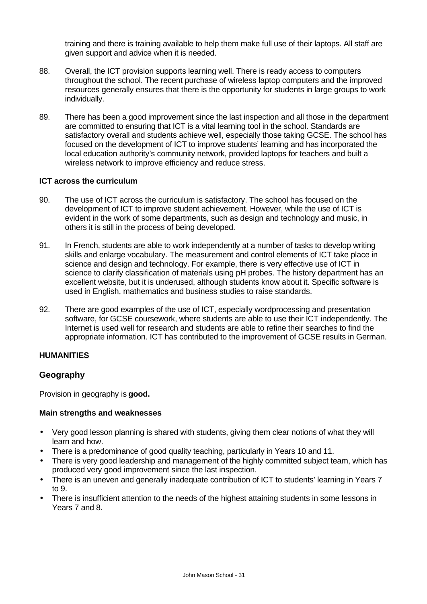training and there is training available to help them make full use of their laptops. All staff are given support and advice when it is needed.

- 88. Overall, the ICT provision supports learning well. There is ready access to computers throughout the school. The recent purchase of wireless laptop computers and the improved resources generally ensures that there is the opportunity for students in large groups to work individually.
- 89. There has been a good improvement since the last inspection and all those in the department are committed to ensuring that ICT is a vital learning tool in the school. Standards are satisfactory overall and students achieve well, especially those taking GCSE. The school has focused on the development of ICT to improve students' learning and has incorporated the local education authority's community network, provided laptops for teachers and built a wireless network to improve efficiency and reduce stress.

#### **ICT across the curriculum**

- 90. The use of ICT across the curriculum is satisfactory. The school has focused on the development of ICT to improve student achievement. However, while the use of ICT is evident in the work of some departments, such as design and technology and music, in others it is still in the process of being developed.
- 91. In French, students are able to work independently at a number of tasks to develop writing skills and enlarge vocabulary. The measurement and control elements of ICT take place in science and design and technology. For example, there is very effective use of ICT in science to clarify classification of materials using pH probes. The history department has an excellent website, but it is underused, although students know about it. Specific software is used in English, mathematics and business studies to raise standards.
- 92. There are good examples of the use of ICT, especially wordprocessing and presentation software, for GCSE coursework, where students are able to use their ICT independently. The Internet is used well for research and students are able to refine their searches to find the appropriate information. ICT has contributed to the improvement of GCSE results in German.

#### **HUMANITIES**

#### **Geography**

Provision in geography is **good.**

- Very good lesson planning is shared with students, giving them clear notions of what they will learn and how.
- There is a predominance of good quality teaching, particularly in Years 10 and 11.
- There is very good leadership and management of the highly committed subject team, which has produced very good improvement since the last inspection.
- There is an uneven and generally inadequate contribution of ICT to students' learning in Years 7 to 9.
- There is insufficient attention to the needs of the highest attaining students in some lessons in Years 7 and 8.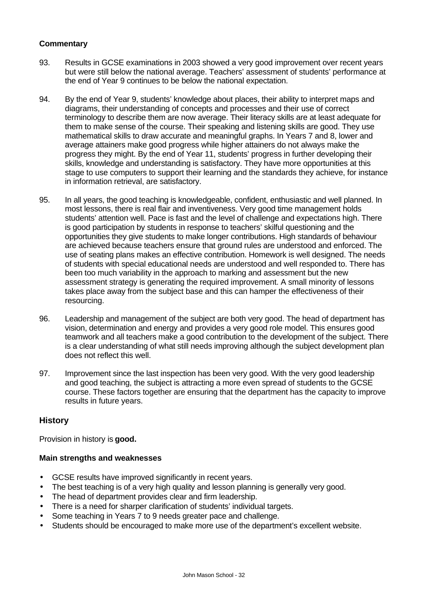- 93. Results in GCSE examinations in 2003 showed a very good improvement over recent years but were still below the national average. Teachers' assessment of students' performance at the end of Year 9 continues to be below the national expectation.
- 94. By the end of Year 9, students' knowledge about places, their ability to interpret maps and diagrams, their understanding of concepts and processes and their use of correct terminology to describe them are now average. Their literacy skills are at least adequate for them to make sense of the course. Their speaking and listening skills are good. They use mathematical skills to draw accurate and meaningful graphs. In Years 7 and 8, lower and average attainers make good progress while higher attainers do not always make the progress they might. By the end of Year 11, students' progress in further developing their skills, knowledge and understanding is satisfactory. They have more opportunities at this stage to use computers to support their learning and the standards they achieve, for instance in information retrieval, are satisfactory.
- 95. In all years, the good teaching is knowledgeable, confident, enthusiastic and well planned. In most lessons, there is real flair and inventiveness. Very good time management holds students' attention well. Pace is fast and the level of challenge and expectations high. There is good participation by students in response to teachers' skilful questioning and the opportunities they give students to make longer contributions. High standards of behaviour are achieved because teachers ensure that ground rules are understood and enforced. The use of seating plans makes an effective contribution. Homework is well designed. The needs of students with special educational needs are understood and well responded to. There has been too much variability in the approach to marking and assessment but the new assessment strategy is generating the required improvement. A small minority of lessons takes place away from the subject base and this can hamper the effectiveness of their resourcing.
- 96. Leadership and management of the subject are both very good. The head of department has vision, determination and energy and provides a very good role model. This ensures good teamwork and all teachers make a good contribution to the development of the subject. There is a clear understanding of what still needs improving although the subject development plan does not reflect this well.
- 97. Improvement since the last inspection has been very good. With the very good leadership and good teaching, the subject is attracting a more even spread of students to the GCSE course. These factors together are ensuring that the department has the capacity to improve results in future years.

#### **History**

Provision in history is **good.**

- GCSE results have improved significantly in recent years.
- The best teaching is of a very high quality and lesson planning is generally very good.
- The head of department provides clear and firm leadership.
- There is a need for sharper clarification of students' individual targets.
- Some teaching in Years 7 to 9 needs greater pace and challenge.
- Students should be encouraged to make more use of the department's excellent website.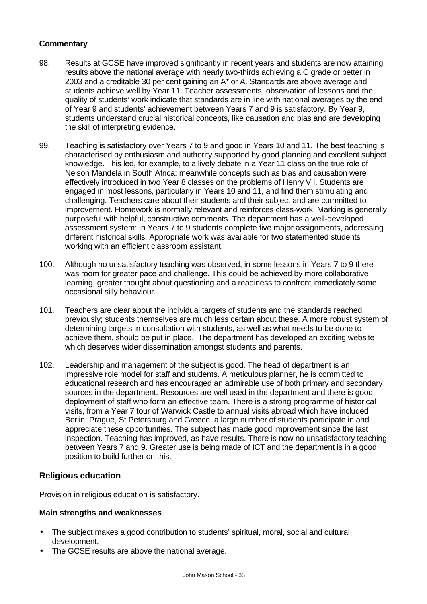- 98. Results at GCSE have improved significantly in recent years and students are now attaining results above the national average with nearly two-thirds achieving a C grade or better in 2003 and a creditable 30 per cent gaining an A\* or A. Standards are above average and students achieve well by Year 11. Teacher assessments, observation of lessons and the quality of students' work indicate that standards are in line with national averages by the end of Year 9 and students' achievement between Years 7 and 9 is satisfactory. By Year 9, students understand crucial historical concepts, like causation and bias and are developing the skill of interpreting evidence.
- 99. Teaching is satisfactory over Years 7 to 9 and good in Years 10 and 11. The best teaching is characterised by enthusiasm and authority supported by good planning and excellent subject knowledge. This led, for example, to a lively debate in a Year 11 class on the true role of Nelson Mandela in South Africa: meanwhile concepts such as bias and causation were effectively introduced in two Year 8 classes on the problems of Henry VII. Students are engaged in most lessons, particularly in Years 10 and 11, and find them stimulating and challenging. Teachers care about their students and their subject and are committed to improvement. Homework is normally relevant and reinforces class-work. Marking is generally purposeful with helpful, constructive comments. The department has a well-developed assessment system: in Years 7 to 9 students complete five major assignments, addressing different historical skills. Appropriate work was available for two statemented students working with an efficient classroom assistant.
- 100. Although no unsatisfactory teaching was observed, in some lessons in Years 7 to 9 there was room for greater pace and challenge. This could be achieved by more collaborative learning, greater thought about questioning and a readiness to confront immediately some occasional silly behaviour.
- 101. Teachers are clear about the individual targets of students and the standards reached previously; students themselves are much less certain about these. A more robust system of determining targets in consultation with students, as well as what needs to be done to achieve them, should be put in place. The department has developed an exciting website which deserves wider dissemination amongst students and parents.
- 102. Leadership and management of the subject is good. The head of department is an impressive role model for staff and students. A meticulous planner, he is committed to educational research and has encouraged an admirable use of both primary and secondary sources in the department. Resources are well used in the department and there is good deployment of staff who form an effective team. There is a strong programme of historical visits, from a Year 7 tour of Warwick Castle to annual visits abroad which have included Berlin, Prague, St Petersburg and Greece: a large number of students participate in and appreciate these opportunities. The subject has made good improvement since the last inspection. Teaching has improved, as have results. There is now no unsatisfactory teaching between Years 7 and 9. Greater use is being made of ICT and the department is in a good position to build further on this.

#### **Religious education**

Provision in religious education is satisfactory.

- The subject makes a good contribution to students' spiritual, moral, social and cultural development.
- The GCSE results are above the national average.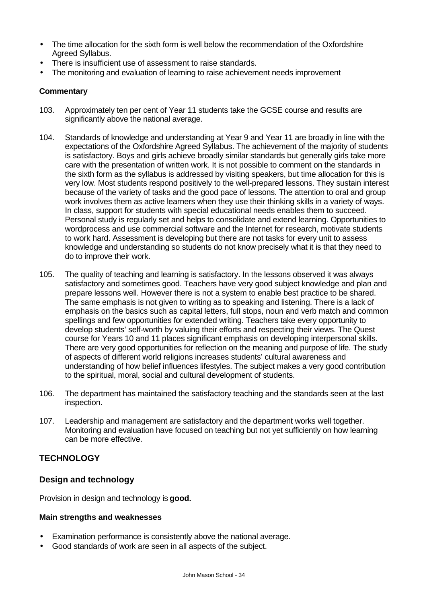- The time allocation for the sixth form is well below the recommendation of the Oxfordshire Agreed Syllabus.
- There is insufficient use of assessment to raise standards.
- The monitoring and evaluation of learning to raise achievement needs improvement

- 103. Approximately ten per cent of Year 11 students take the GCSE course and results are significantly above the national average.
- 104. Standards of knowledge and understanding at Year 9 and Year 11 are broadly in line with the expectations of the Oxfordshire Agreed Syllabus. The achievement of the majority of students is satisfactory. Boys and girls achieve broadly similar standards but generally girls take more care with the presentation of written work. It is not possible to comment on the standards in the sixth form as the syllabus is addressed by visiting speakers, but time allocation for this is very low. Most students respond positively to the well-prepared lessons. They sustain interest because of the variety of tasks and the good pace of lessons. The attention to oral and group work involves them as active learners when they use their thinking skills in a variety of ways. In class, support for students with special educational needs enables them to succeed. Personal study is regularly set and helps to consolidate and extend learning. Opportunities to wordprocess and use commercial software and the Internet for research, motivate students to work hard. Assessment is developing but there are not tasks for every unit to assess knowledge and understanding so students do not know precisely what it is that they need to do to improve their work.
- 105. The quality of teaching and learning is satisfactory. In the lessons observed it was always satisfactory and sometimes good. Teachers have very good subject knowledge and plan and prepare lessons well. However there is not a system to enable best practice to be shared. The same emphasis is not given to writing as to speaking and listening. There is a lack of emphasis on the basics such as capital letters, full stops, noun and verb match and common spellings and few opportunities for extended writing. Teachers take every opportunity to develop students' self-worth by valuing their efforts and respecting their views. The Quest course for Years 10 and 11 places significant emphasis on developing interpersonal skills. There are very good opportunities for reflection on the meaning and purpose of life. The study of aspects of different world religions increases students' cultural awareness and understanding of how belief influences lifestyles. The subject makes a very good contribution to the spiritual, moral, social and cultural development of students.
- 106. The department has maintained the satisfactory teaching and the standards seen at the last inspection.
- 107. Leadership and management are satisfactory and the department works well together. Monitoring and evaluation have focused on teaching but not yet sufficiently on how learning can be more effective.

# **TECHNOLOGY**

# **Design and technology**

Provision in design and technology is **good.**

- Examination performance is consistently above the national average.
- Good standards of work are seen in all aspects of the subject.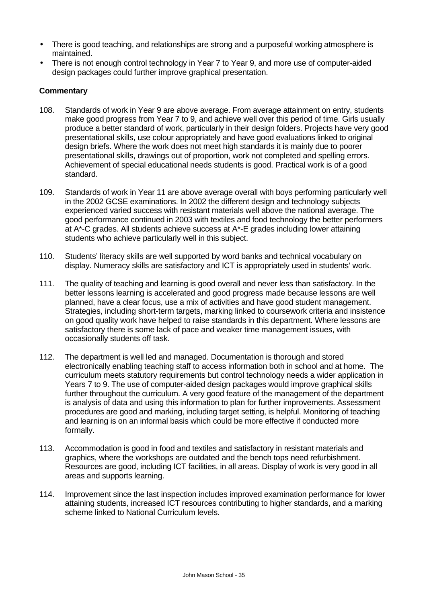- There is good teaching, and relationships are strong and a purposeful working atmosphere is maintained.
- There is not enough control technology in Year 7 to Year 9, and more use of computer-aided design packages could further improve graphical presentation.

- 108. Standards of work in Year 9 are above average. From average attainment on entry, students make good progress from Year 7 to 9, and achieve well over this period of time. Girls usually produce a better standard of work, particularly in their design folders. Projects have very good presentational skills, use colour appropriately and have good evaluations linked to original design briefs. Where the work does not meet high standards it is mainly due to poorer presentational skills, drawings out of proportion, work not completed and spelling errors. Achievement of special educational needs students is good. Practical work is of a good standard.
- 109. Standards of work in Year 11 are above average overall with boys performing particularly well in the 2002 GCSE examinations. In 2002 the different design and technology subjects experienced varied success with resistant materials well above the national average. The good performance continued in 2003 with textiles and food technology the better performers at A\*-C grades. All students achieve success at A\*-E grades including lower attaining students who achieve particularly well in this subject.
- 110. Students' literacy skills are well supported by word banks and technical vocabulary on display. Numeracy skills are satisfactory and ICT is appropriately used in students' work.
- 111. The quality of teaching and learning is good overall and never less than satisfactory. In the better lessons learning is accelerated and good progress made because lessons are well planned, have a clear focus, use a mix of activities and have good student management. Strategies, including short-term targets, marking linked to coursework criteria and insistence on good quality work have helped to raise standards in this department. Where lessons are satisfactory there is some lack of pace and weaker time management issues, with occasionally students off task.
- 112. The department is well led and managed. Documentation is thorough and stored electronically enabling teaching staff to access information both in school and at home. The curriculum meets statutory requirements but control technology needs a wider application in Years 7 to 9. The use of computer-aided design packages would improve graphical skills further throughout the curriculum. A very good feature of the management of the department is analysis of data and using this information to plan for further improvements. Assessment procedures are good and marking, including target setting, is helpful. Monitoring of teaching and learning is on an informal basis which could be more effective if conducted more formally.
- 113. Accommodation is good in food and textiles and satisfactory in resistant materials and graphics, where the workshops are outdated and the bench tops need refurbishment. Resources are good, including ICT facilities, in all areas. Display of work is very good in all areas and supports learning.
- 114. Improvement since the last inspection includes improved examination performance for lower attaining students, increased ICT resources contributing to higher standards, and a marking scheme linked to National Curriculum levels.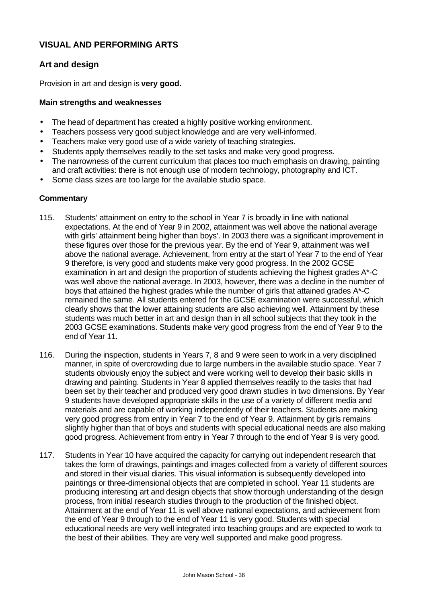# **VISUAL AND PERFORMING ARTS**

# **Art and design**

Provision in art and design is **very good.**

#### **Main strengths and weaknesses**

- The head of department has created a highly positive working environment.
- Teachers possess very good subject knowledge and are very well-informed.
- Teachers make very good use of a wide variety of teaching strategies.
- Students apply themselves readily to the set tasks and make very good progress.
- The narrowness of the current curriculum that places too much emphasis on drawing, painting and craft activities: there is not enough use of modern technology, photography and ICT.
- Some class sizes are too large for the available studio space.

- 115. Students' attainment on entry to the school in Year 7 is broadly in line with national expectations. At the end of Year 9 in 2002, attainment was well above the national average with girls' attainment being higher than boys'. In 2003 there was a significant improvement in these figures over those for the previous year. By the end of Year 9, attainment was well above the national average. Achievement, from entry at the start of Year 7 to the end of Year 9 therefore, is very good and students make very good progress. In the 2002 GCSE examination in art and design the proportion of students achieving the highest grades A\*-C was well above the national average. In 2003, however, there was a decline in the number of boys that attained the highest grades while the number of girls that attained grades A\*-C remained the same. All students entered for the GCSE examination were successful, which clearly shows that the lower attaining students are also achieving well. Attainment by these students was much better in art and design than in all school subjects that they took in the 2003 GCSE examinations. Students make very good progress from the end of Year 9 to the end of Year 11.
- 116. During the inspection, students in Years 7, 8 and 9 were seen to work in a very disciplined manner, in spite of overcrowding due to large numbers in the available studio space. Year 7 students obviously enjoy the subject and were working well to develop their basic skills in drawing and painting. Students in Year 8 applied themselves readily to the tasks that had been set by their teacher and produced very good drawn studies in two dimensions. By Year 9 students have developed appropriate skills in the use of a variety of different media and materials and are capable of working independently of their teachers. Students are making very good progress from entry in Year 7 to the end of Year 9. Attainment by girls remains slightly higher than that of boys and students with special educational needs are also making good progress. Achievement from entry in Year 7 through to the end of Year 9 is very good.
- 117. Students in Year 10 have acquired the capacity for carrying out independent research that takes the form of drawings, paintings and images collected from a variety of different sources and stored in their visual diaries. This visual information is subsequently developed into paintings or three-dimensional objects that are completed in school. Year 11 students are producing interesting art and design objects that show thorough understanding of the design process, from initial research studies through to the production of the finished object. Attainment at the end of Year 11 is well above national expectations, and achievement from the end of Year 9 through to the end of Year 11 is very good. Students with special educational needs are very well integrated into teaching groups and are expected to work to the best of their abilities. They are very well supported and make good progress.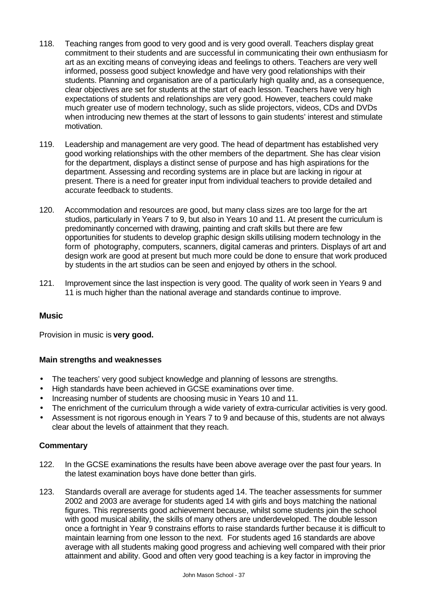- 118. Teaching ranges from good to very good and is very good overall. Teachers display great commitment to their students and are successful in communicating their own enthusiasm for art as an exciting means of conveying ideas and feelings to others. Teachers are very well informed, possess good subject knowledge and have very good relationships with their students. Planning and organisation are of a particularly high quality and, as a consequence, clear objectives are set for students at the start of each lesson. Teachers have very high expectations of students and relationships are very good. However, teachers could make much greater use of modern technology, such as slide projectors, videos, CDs and DVDs when introducing new themes at the start of lessons to gain students' interest and stimulate motivation.
- 119. Leadership and management are very good. The head of department has established very good working relationships with the other members of the department. She has clear vision for the department, displays a distinct sense of purpose and has high aspirations for the department. Assessing and recording systems are in place but are lacking in rigour at present. There is a need for greater input from individual teachers to provide detailed and accurate feedback to students.
- 120. Accommodation and resources are good, but many class sizes are too large for the art studios, particularly in Years 7 to 9, but also in Years 10 and 11. At present the curriculum is predominantly concerned with drawing, painting and craft skills but there are few opportunities for students to develop graphic design skills utilising modern technology in the form of photography, computers, scanners, digital cameras and printers. Displays of art and design work are good at present but much more could be done to ensure that work produced by students in the art studios can be seen and enjoyed by others in the school.
- 121. Improvement since the last inspection is very good. The quality of work seen in Years 9 and 11 is much higher than the national average and standards continue to improve.

# **Music**

Provision in music is **very good.**

#### **Main strengths and weaknesses**

- The teachers' very good subject knowledge and planning of lessons are strengths.
- High standards have been achieved in GCSE examinations over time.
- Increasing number of students are choosing music in Years 10 and 11.
- The enrichment of the curriculum through a wide variety of extra-curricular activities is very good.
- Assessment is not rigorous enough in Years 7 to 9 and because of this, students are not always clear about the levels of attainment that they reach.

- 122. In the GCSE examinations the results have been above average over the past four years. In the latest examination boys have done better than girls.
- 123. Standards overall are average for students aged 14. The teacher assessments for summer 2002 and 2003 are average for students aged 14 with girls and boys matching the national figures. This represents good achievement because, whilst some students join the school with good musical ability, the skills of many others are underdeveloped. The double lesson once a fortnight in Year 9 constrains efforts to raise standards further because it is difficult to maintain learning from one lesson to the next. For students aged 16 standards are above average with all students making good progress and achieving well compared with their prior attainment and ability. Good and often very good teaching is a key factor in improving the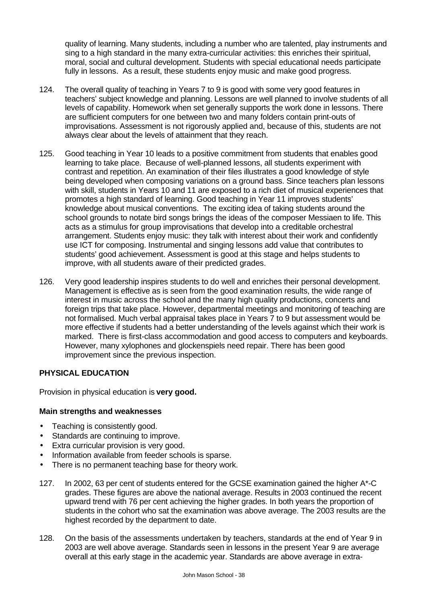quality of learning. Many students, including a number who are talented, play instruments and sing to a high standard in the many extra-curricular activities: this enriches their spiritual, moral, social and cultural development. Students with special educational needs participate fully in lessons. As a result, these students enjoy music and make good progress.

- 124. The overall quality of teaching in Years 7 to 9 is good with some very good features in teachers' subject knowledge and planning. Lessons are well planned to involve students of all levels of capability. Homework when set generally supports the work done in lessons. There are sufficient computers for one between two and many folders contain print-outs of improvisations. Assessment is not rigorously applied and, because of this, students are not always clear about the levels of attainment that they reach.
- 125. Good teaching in Year 10 leads to a positive commitment from students that enables good learning to take place. Because of well-planned lessons, all students experiment with contrast and repetition. An examination of their files illustrates a good knowledge of style being developed when composing variations on a ground bass. Since teachers plan lessons with skill, students in Years 10 and 11 are exposed to a rich diet of musical experiences that promotes a high standard of learning. Good teaching in Year 11 improves students' knowledge about musical conventions. The exciting idea of taking students around the school grounds to notate bird songs brings the ideas of the composer Messiaen to life. This acts as a stimulus for group improvisations that develop into a creditable orchestral arrangement. Students enjoy music: they talk with interest about their work and confidently use ICT for composing. Instrumental and singing lessons add value that contributes to students' good achievement. Assessment is good at this stage and helps students to improve, with all students aware of their predicted grades.
- 126. Very good leadership inspires students to do well and enriches their personal development. Management is effective as is seen from the good examination results, the wide range of interest in music across the school and the many high quality productions, concerts and foreign trips that take place. However, departmental meetings and monitoring of teaching are not formalised. Much verbal appraisal takes place in Years 7 to 9 but assessment would be more effective if students had a better understanding of the levels against which their work is marked. There is first-class accommodation and good access to computers and keyboards. However, many xylophones and glockenspiels need repair. There has been good improvement since the previous inspection.

# **PHYSICAL EDUCATION**

Provision in physical education is **very good.**

- Teaching is consistently good.
- Standards are continuing to improve.
- Extra curricular provision is very good.
- Information available from feeder schools is sparse.
- There is no permanent teaching base for theory work.
- 127. In 2002, 63 per cent of students entered for the GCSE examination gained the higher A\*-C grades. These figures are above the national average. Results in 2003 continued the recent upward trend with 76 per cent achieving the higher grades. In both years the proportion of students in the cohort who sat the examination was above average. The 2003 results are the highest recorded by the department to date.
- 128. On the basis of the assessments undertaken by teachers, standards at the end of Year 9 in 2003 are well above average. Standards seen in lessons in the present Year 9 are average overall at this early stage in the academic year. Standards are above average in extra-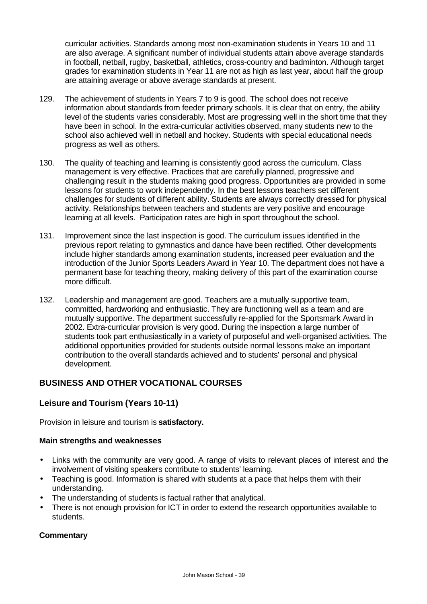curricular activities. Standards among most non-examination students in Years 10 and 11 are also average. A significant number of individual students attain above average standards in football, netball, rugby, basketball, athletics, cross-country and badminton. Although target grades for examination students in Year 11 are not as high as last year, about half the group are attaining average or above average standards at present.

- 129. The achievement of students in Years 7 to 9 is good. The school does not receive information about standards from feeder primary schools. It is clear that on entry, the ability level of the students varies considerably. Most are progressing well in the short time that they have been in school. In the extra-curricular activities observed, many students new to the school also achieved well in netball and hockey. Students with special educational needs progress as well as others.
- 130. The quality of teaching and learning is consistently good across the curriculum. Class management is very effective. Practices that are carefully planned, progressive and challenging result in the students making good progress. Opportunities are provided in some lessons for students to work independently. In the best lessons teachers set different challenges for students of different ability. Students are always correctly dressed for physical activity. Relationships between teachers and students are very positive and encourage learning at all levels. Participation rates are high in sport throughout the school.
- 131. Improvement since the last inspection is good. The curriculum issues identified in the previous report relating to gymnastics and dance have been rectified. Other developments include higher standards among examination students, increased peer evaluation and the introduction of the Junior Sports Leaders Award in Year 10. The department does not have a permanent base for teaching theory, making delivery of this part of the examination course more difficult.
- 132. Leadership and management are good. Teachers are a mutually supportive team, committed, hardworking and enthusiastic. They are functioning well as a team and are mutually supportive. The department successfully re-applied for the Sportsmark Award in 2002. Extra-curricular provision is very good. During the inspection a large number of students took part enthusiastically in a variety of purposeful and well-organised activities. The additional opportunities provided for students outside normal lessons make an important contribution to the overall standards achieved and to students' personal and physical development.

# **BUSINESS AND OTHER VOCATIONAL COURSES**

# **Leisure and Tourism (Years 10-11)**

Provision in leisure and tourism is **satisfactory.**

#### **Main strengths and weaknesses**

- Links with the community are very good. A range of visits to relevant places of interest and the involvement of visiting speakers contribute to students' learning.
- Teaching is good. Information is shared with students at a pace that helps them with their understanding.
- The understanding of students is factual rather that analytical.
- There is not enough provision for ICT in order to extend the research opportunities available to students.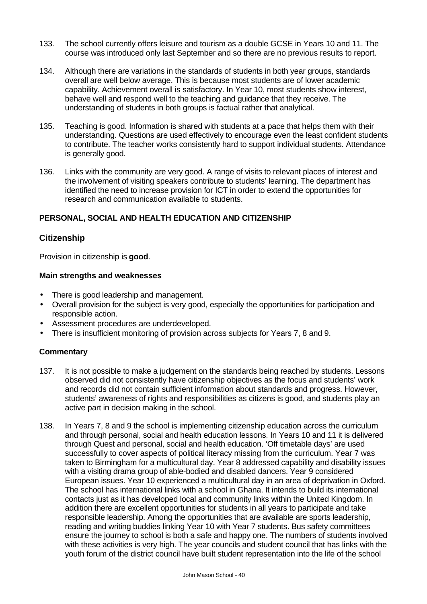- 133. The school currently offers leisure and tourism as a double GCSE in Years 10 and 11. The course was introduced only last September and so there are no previous results to report.
- 134. Although there are variations in the standards of students in both year groups, standards overall are well below average. This is because most students are of lower academic capability. Achievement overall is satisfactory. In Year 10, most students show interest, behave well and respond well to the teaching and guidance that they receive. The understanding of students in both groups is factual rather that analytical.
- 135. Teaching is good. Information is shared with students at a pace that helps them with their understanding. Questions are used effectively to encourage even the least confident students to contribute. The teacher works consistently hard to support individual students. Attendance is generally good.
- 136. Links with the community are very good. A range of visits to relevant places of interest and the involvement of visiting speakers contribute to students' learning. The department has identified the need to increase provision for ICT in order to extend the opportunities for research and communication available to students.

#### **PERSONAL, SOCIAL AND HEALTH EDUCATION AND CITIZENSHIP**

### **Citizenship**

Provision in citizenship is **good**.

#### **Main strengths and weaknesses**

- There is good leadership and management.
- Overall provision for the subject is very good, especially the opportunities for participation and responsible action.
- Assessment procedures are underdeveloped.
- There is insufficient monitoring of provision across subjects for Years 7, 8 and 9.

- 137. It is not possible to make a judgement on the standards being reached by students. Lessons observed did not consistently have citizenship objectives as the focus and students' work and records did not contain sufficient information about standards and progress. However, students' awareness of rights and responsibilities as citizens is good, and students play an active part in decision making in the school.
- 138. In Years 7, 8 and 9 the school is implementing citizenship education across the curriculum and through personal, social and health education lessons. In Years 10 and 11 it is delivered through Quest and personal, social and health education. 'Off timetable days' are used successfully to cover aspects of political literacy missing from the curriculum. Year 7 was taken to Birmingham for a multicultural day. Year 8 addressed capability and disability issues with a visiting drama group of able-bodied and disabled dancers. Year 9 considered European issues. Year 10 experienced a multicultural day in an area of deprivation in Oxford. The school has international links with a school in Ghana. It intends to build its international contacts just as it has developed local and community links within the United Kingdom. In addition there are excellent opportunities for students in all years to participate and take responsible leadership. Among the opportunities that are available are sports leadership, reading and writing buddies linking Year 10 with Year 7 students. Bus safety committees ensure the journey to school is both a safe and happy one. The numbers of students involved with these activities is very high. The year councils and student council that has links with the youth forum of the district council have built student representation into the life of the school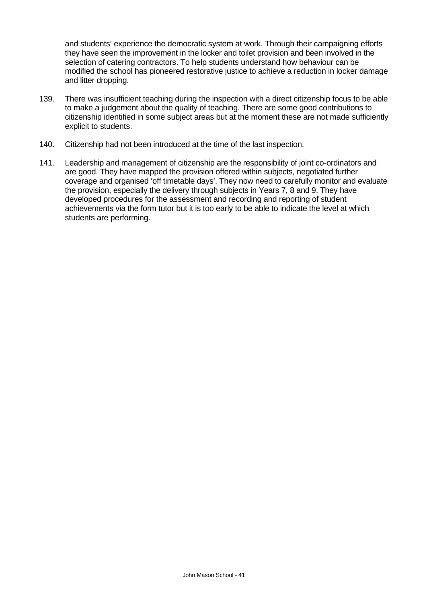and students' experience the democratic system at work. Through their campaigning efforts they have seen the improvement in the locker and toilet provision and been involved in the selection of catering contractors. To help students understand how behaviour can be modified the school has pioneered restorative justice to achieve a reduction in locker damage and litter dropping.

- 139. There was insufficient teaching during the inspection with a direct citizenship focus to be able to make a judgement about the quality of teaching. There are some good contributions to citizenship identified in some subject areas but at the moment these are not made sufficiently explicit to students.
- 140. Citizenship had not been introduced at the time of the last inspection.
- 141. Leadership and management of citizenship are the responsibility of joint co-ordinators and are good. They have mapped the provision offered within subjects, negotiated further coverage and organised 'off timetable days'. They now need to carefully monitor and evaluate the provision, especially the delivery through subjects in Years 7, 8 and 9. They have developed procedures for the assessment and recording and reporting of student achievements via the form tutor but it is too early to be able to indicate the level at which students are performing.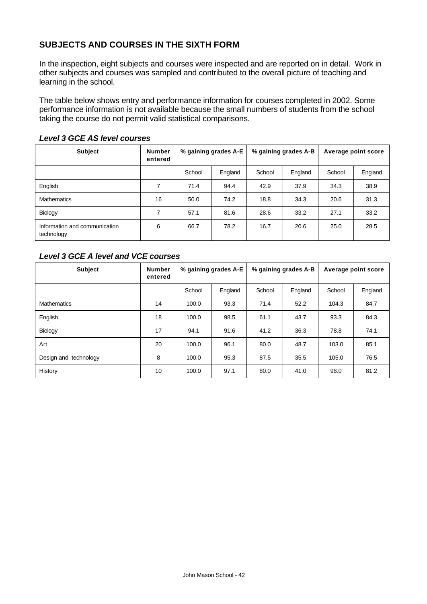# **SUBJECTS AND COURSES IN THE SIXTH FORM**

In the inspection, eight subjects and courses were inspected and are reported on in detail. Work in other subjects and courses was sampled and contributed to the overall picture of teaching and learning in the school.

The table below shows entry and performance information for courses completed in 2002. Some performance information is not available because the small numbers of students from the school taking the course do not permit valid statistical comparisons.

| <b>Subject</b>                              | <b>Number</b><br>entered | % gaining grades A-E |         | % gaining grades A-B |         | Average point score |         |
|---------------------------------------------|--------------------------|----------------------|---------|----------------------|---------|---------------------|---------|
|                                             |                          | School               | England | School               | England | School              | England |
| English                                     | 7                        | 71.4                 | 94.4    | 42.9                 | 37.9    | 34.3                | 38.9    |
| <b>Mathematics</b>                          | 16                       | 50.0                 | 74.2    | 18.8                 | 34.3    | 20.6                | 31.3    |
| Biology                                     | 7                        | 57.1                 | 81.6    | 28.6                 | 33.2    | 27.1                | 33.2    |
| Information and communication<br>technology | 6                        | 66.7                 | 78.2    | 16.7                 | 20.6    | 25.0                | 28.5    |

#### *Level 3 GCE AS level courses*

#### *Level 3 GCE A level and VCE courses*

| <b>Subject</b>        | <b>Number</b><br>entered | % gaining grades A-E |         | % gaining grades A-B |         | Average point score |         |
|-----------------------|--------------------------|----------------------|---------|----------------------|---------|---------------------|---------|
|                       |                          | School               | England | School               | England | School              | England |
| <b>Mathematics</b>    | 14                       | 100.0                | 93.3    | 71.4                 | 52.2    | 104.3               | 84.7    |
| English               | 18                       | 100.0                | 98.5    | 61.1                 | 43.7    | 93.3                | 84.3    |
| Biology               | 17                       | 94.1                 | 91.6    | 41.2                 | 36.3    | 78.8                | 74.1    |
| Art                   | 20                       | 100.0                | 96.1    | 80.0                 | 48.7    | 103.0               | 85.1    |
| Design and technology | 8                        | 100.0                | 95.3    | 87.5                 | 35.5    | 105.0               | 76.5    |
| History               | 10                       | 100.0                | 97.1    | 80.0                 | 41.0    | 98.0                | 81.2    |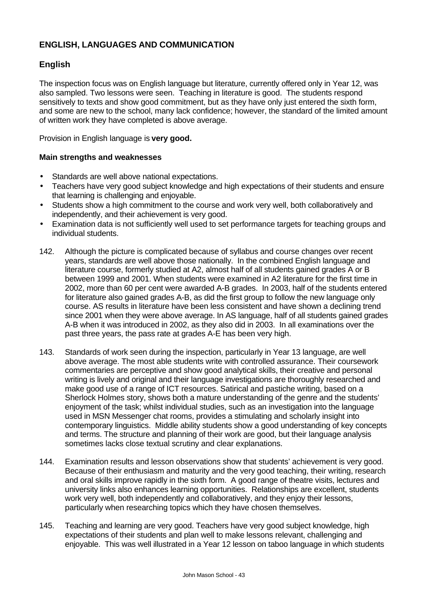# **ENGLISH, LANGUAGES AND COMMUNICATION**

# **English**

The inspection focus was on English language but literature, currently offered only in Year 12, was also sampled. Two lessons were seen. Teaching in literature is good. The students respond sensitively to texts and show good commitment, but as they have only just entered the sixth form, and some are new to the school, many lack confidence; however, the standard of the limited amount of written work they have completed is above average.

Provision in English language is **very good.**

- Standards are well above national expectations.
- Teachers have very good subject knowledge and high expectations of their students and ensure that learning is challenging and enjoyable.
- Students show a high commitment to the course and work very well, both collaboratively and independently, and their achievement is very good.
- Examination data is not sufficiently well used to set performance targets for teaching groups and individual students.
- 142. Although the picture is complicated because of syllabus and course changes over recent years, standards are well above those nationally. In the combined English language and literature course, formerly studied at A2, almost half of all students gained grades A or B between 1999 and 2001. When students were examined in A2 literature for the first time in 2002, more than 60 per cent were awarded A-B grades. In 2003, half of the students entered for literature also gained grades A-B, as did the first group to follow the new language only course. AS results in literature have been less consistent and have shown a declining trend since 2001 when they were above average. In AS language, half of all students gained grades A-B when it was introduced in 2002, as they also did in 2003. In all examinations over the past three years, the pass rate at grades A-E has been very high.
- 143. Standards of work seen during the inspection, particularly in Year 13 language, are well above average. The most able students write with controlled assurance. Their coursework commentaries are perceptive and show good analytical skills, their creative and personal writing is lively and original and their language investigations are thoroughly researched and make good use of a range of ICT resources. Satirical and pastiche writing, based on a Sherlock Holmes story, shows both a mature understanding of the genre and the students' enjoyment of the task; whilst individual studies, such as an investigation into the language used in MSN Messenger chat rooms, provides a stimulating and scholarly insight into contemporary linguistics. Middle ability students show a good understanding of key concepts and terms. The structure and planning of their work are good, but their language analysis sometimes lacks close textual scrutiny and clear explanations.
- 144. Examination results and lesson observations show that students' achievement is very good. Because of their enthusiasm and maturity and the very good teaching, their writing, research and oral skills improve rapidly in the sixth form. A good range of theatre visits, lectures and university links also enhances learning opportunities. Relationships are excellent, students work very well, both independently and collaboratively, and they enjoy their lessons, particularly when researching topics which they have chosen themselves.
- 145. Teaching and learning are very good. Teachers have very good subject knowledge, high expectations of their students and plan well to make lessons relevant, challenging and enjoyable. This was well illustrated in a Year 12 lesson on taboo language in which students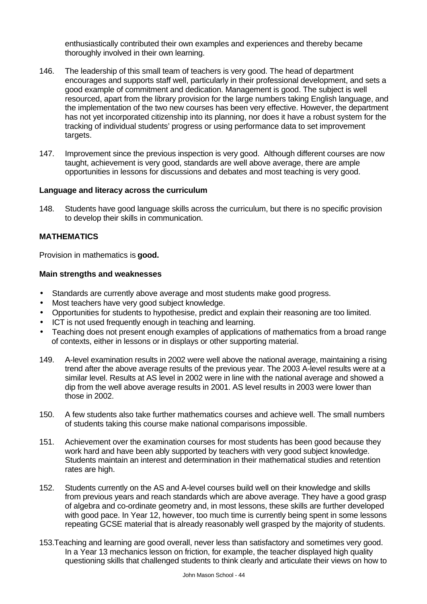enthusiastically contributed their own examples and experiences and thereby became thoroughly involved in their own learning.

- 146. The leadership of this small team of teachers is very good. The head of department encourages and supports staff well, particularly in their professional development, and sets a good example of commitment and dedication. Management is good. The subject is well resourced, apart from the library provision for the large numbers taking English language, and the implementation of the two new courses has been very effective. However, the department has not yet incorporated citizenship into its planning, nor does it have a robust system for the tracking of individual students' progress or using performance data to set improvement targets.
- 147. Improvement since the previous inspection is very good. Although different courses are now taught, achievement is very good, standards are well above average, there are ample opportunities in lessons for discussions and debates and most teaching is very good.

#### **Language and literacy across the curriculum**

148. Students have good language skills across the curriculum, but there is no specific provision to develop their skills in communication.

#### **MATHEMATICS**

Provision in mathematics is **good.**

- Standards are currently above average and most students make good progress.
- Most teachers have very good subject knowledge.
- Opportunities for students to hypothesise, predict and explain their reasoning are too limited.
- ICT is not used frequently enough in teaching and learning.
- Teaching does not present enough examples of applications of mathematics from a broad range of contexts, either in lessons or in displays or other supporting material.
- 149. A-level examination results in 2002 were well above the national average, maintaining a rising trend after the above average results of the previous year. The 2003 A-level results were at a similar level. Results at AS level in 2002 were in line with the national average and showed a dip from the well above average results in 2001. AS level results in 2003 were lower than those in 2002.
- 150. A few students also take further mathematics courses and achieve well. The small numbers of students taking this course make national comparisons impossible.
- 151. Achievement over the examination courses for most students has been good because they work hard and have been ably supported by teachers with very good subject knowledge. Students maintain an interest and determination in their mathematical studies and retention rates are high.
- 152. Students currently on the AS and A-level courses build well on their knowledge and skills from previous years and reach standards which are above average. They have a good grasp of algebra and co-ordinate geometry and, in most lessons, these skills are further developed with good pace. In Year 12, however, too much time is currently being spent in some lessons repeating GCSE material that is already reasonably well grasped by the majority of students.
- 153.Teaching and learning are good overall, never less than satisfactory and sometimes very good. In a Year 13 mechanics lesson on friction, for example, the teacher displayed high quality questioning skills that challenged students to think clearly and articulate their views on how to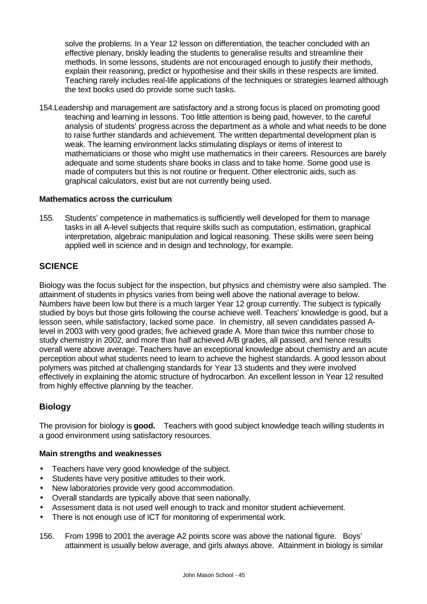solve the problems. In a Year 12 lesson on differentiation, the teacher concluded with an effective plenary, briskly leading the students to generalise results and streamline their methods. In some lessons, students are not encouraged enough to justify their methods, explain their reasoning, predict or hypothesise and their skills in these respects are limited. Teaching rarely includes real-life applications of the techniques or strategies learned although the text books used do provide some such tasks.

154.Leadership and management are satisfactory and a strong focus is placed on promoting good teaching and learning in lessons*.* Too little attention is being paid, however, to the careful analysis of students' progress across the department as a whole and what needs to be done to raise further standards and achievement*.* The written departmental development plan is weak. The learning environment lacks stimulating displays or items of interest to mathematicians or those who might use mathematics in their careers. Resources are barely adequate and some students share books in class and to take home. Some good use is made of computers but this is not routine or frequent. Other electronic aids, such as graphical calculators, exist but are not currently being used.

#### **Mathematics across the curriculum**

155. Students' competence in mathematics is sufficiently well developed for them to manage tasks in all A-level subjects that require skills such as computation, estimation, graphical interpretation, algebraic manipulation and logical reasoning. These skills were seen being applied well in science and in design and technology, for example.

# **SCIENCE**

Biology was the focus subject for the inspection, but physics and chemistry were also sampled. The attainment of students in physics varies from being well above the national average to below. Numbers have been low but there is a much larger Year 12 group currently. The subject is typically studied by boys but those girls following the course achieve well. Teachers' knowledge is good, but a lesson seen, while satisfactory, lacked some pace. In chemistry, all seven candidates passed Alevel in 2003 with very good grades; five achieved grade A. More than twice this number chose to study chemistry in 2002, and more than half achieved A/B grades, all passed, and hence results overall were above average. Teachers have an exceptional knowledge about chemistry and an acute perception about what students need to learn to achieve the highest standards. A good lesson about polymers was pitched at challenging standards for Year 13 students and they were involved effectively in explaining the atomic structure of hydrocarbon. An excellent lesson in Year 12 resulted from highly effective planning by the teacher.

#### **Biology**

The provision for biology is **good.** Teachers with good subject knowledge teach willing students in a good environment using satisfactory resources.

- Teachers have very good knowledge of the subject.
- Students have very positive attitudes to their work.
- New laboratories provide very good accommodation.
- Overall standards are typically above that seen nationally.
- Assessment data is not used well enough to track and monitor student achievement.
- There is not enough use of ICT for monitoring of experimental work.
- 156. From 1998 to 2001 the average A2 points score was above the national figure. Boys' attainment is usually below average, and girls always above. Attainment in biology is similar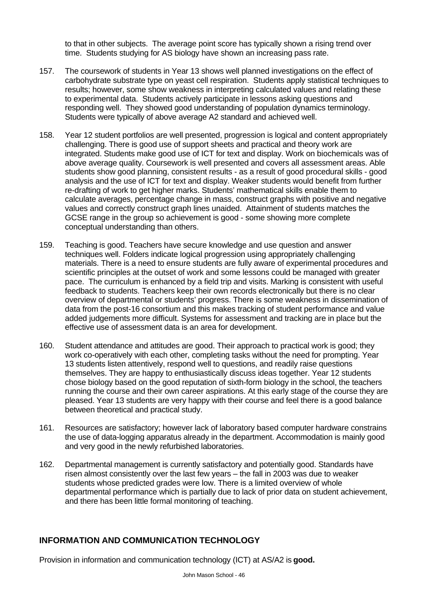to that in other subjects. The average point score has typically shown a rising trend over time. Students studying for AS biology have shown an increasing pass rate.

- 157. The coursework of students in Year 13 shows well planned investigations on the effect of carbohydrate substrate type on yeast cell respiration. Students apply statistical techniques to results; however, some show weakness in interpreting calculated values and relating these to experimental data. Students actively participate in lessons asking questions and responding well. They showed good understanding of population dynamics terminology. Students were typically of above average A2 standard and achieved well.
- 158. Year 12 student portfolios are well presented, progression is logical and content appropriately challenging. There is good use of support sheets and practical and theory work are integrated. Students make good use of ICT for text and display. Work on biochemicals was of above average quality. Coursework is well presented and covers all assessment areas. Able students show good planning, consistent results - as a result of good procedural skills - good analysis and the use of ICT for text and display. Weaker students would benefit from further re-drafting of work to get higher marks. Students' mathematical skills enable them to calculate averages, percentage change in mass, construct graphs with positive and negative values and correctly construct graph lines unaided. Attainment of students matches the GCSE range in the group so achievement is good - some showing more complete conceptual understanding than others.
- 159. Teaching is good. Teachers have secure knowledge and use question and answer techniques well. Folders indicate logical progression using appropriately challenging materials. There is a need to ensure students are fully aware of experimental procedures and scientific principles at the outset of work and some lessons could be managed with greater pace. The curriculum is enhanced by a field trip and visits. Marking is consistent with useful feedback to students. Teachers keep their own records electronically but there is no clear overview of departmental or students' progress. There is some weakness in dissemination of data from the post-16 consortium and this makes tracking of student performance and value added judgements more difficult. Systems for assessment and tracking are in place but the effective use of assessment data is an area for development.
- 160. Student attendance and attitudes are good. Their approach to practical work is good; they work co-operatively with each other, completing tasks without the need for prompting. Year 13 students listen attentively, respond well to questions, and readily raise questions themselves. They are happy to enthusiastically discuss ideas together. Year 12 students chose biology based on the good reputation of sixth-form biology in the school, the teachers running the course and their own career aspirations. At this early stage of the course they are pleased. Year 13 students are very happy with their course and feel there is a good balance between theoretical and practical study.
- 161. Resources are satisfactory; however lack of laboratory based computer hardware constrains the use of data-logging apparatus already in the department. Accommodation is mainly good and very good in the newly refurbished laboratories.
- 162. Departmental management is currently satisfactory and potentially good. Standards have risen almost consistently over the last few years – the fall in 2003 was due to weaker students whose predicted grades were low. There is a limited overview of whole departmental performance which is partially due to lack of prior data on student achievement, and there has been little formal monitoring of teaching.

# **INFORMATION AND COMMUNICATION TECHNOLOGY**

Provision in information and communication technology (ICT) at AS/A2 is **good.**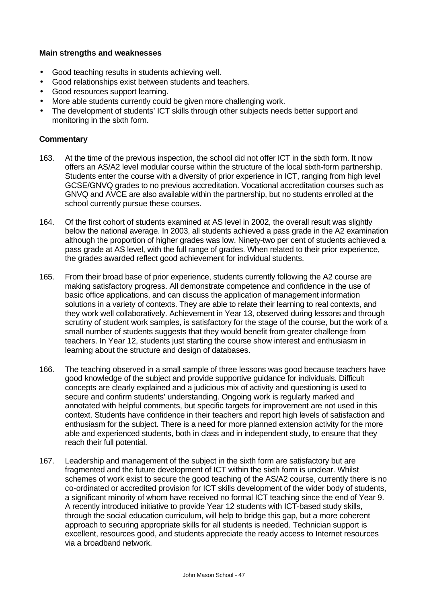#### **Main strengths and weaknesses**

- Good teaching results in students achieving well.
- Good relationships exist between students and teachers.
- Good resources support learning.
- More able students currently could be given more challenging work.
- The development of students' ICT skills through other subjects needs better support and monitoring in the sixth form.

- 163. At the time of the previous inspection, the school did not offer ICT in the sixth form. It now offers an AS/A2 level modular course within the structure of the local sixth-form partnership. Students enter the course with a diversity of prior experience in ICT, ranging from high level GCSE/GNVQ grades to no previous accreditation. Vocational accreditation courses such as GNVQ and AVCE are also available within the partnership, but no students enrolled at the school currently pursue these courses.
- 164. Of the first cohort of students examined at AS level in 2002, the overall result was slightly below the national average. In 2003, all students achieved a pass grade in the A2 examination although the proportion of higher grades was low. Ninety-two per cent of students achieved a pass grade at AS level, with the full range of grades. When related to their prior experience, the grades awarded reflect good achievement for individual students.
- 165. From their broad base of prior experience, students currently following the A2 course are making satisfactory progress. All demonstrate competence and confidence in the use of basic office applications, and can discuss the application of management information solutions in a variety of contexts. They are able to relate their learning to real contexts, and they work well collaboratively. Achievement in Year 13, observed during lessons and through scrutiny of student work samples, is satisfactory for the stage of the course, but the work of a small number of students suggests that they would benefit from greater challenge from teachers. In Year 12, students just starting the course show interest and enthusiasm in learning about the structure and design of databases.
- 166. The teaching observed in a small sample of three lessons was good because teachers have good knowledge of the subject and provide supportive guidance for individuals. Difficult concepts are clearly explained and a judicious mix of activity and questioning is used to secure and confirm students' understanding. Ongoing work is regularly marked and annotated with helpful comments, but specific targets for improvement are not used in this context. Students have confidence in their teachers and report high levels of satisfaction and enthusiasm for the subject. There is a need for more planned extension activity for the more able and experienced students, both in class and in independent study, to ensure that they reach their full potential.
- 167. Leadership and management of the subject in the sixth form are satisfactory but are fragmented and the future development of ICT within the sixth form is unclear. Whilst schemes of work exist to secure the good teaching of the AS/A2 course, currently there is no co-ordinated or accredited provision for ICT skills development of the wider body of students, a significant minority of whom have received no formal ICT teaching since the end of Year 9. A recently introduced initiative to provide Year 12 students with ICT-based study skills, through the social education curriculum, will help to bridge this gap, but a more coherent approach to securing appropriate skills for all students is needed. Technician support is excellent, resources good, and students appreciate the ready access to Internet resources via a broadband network.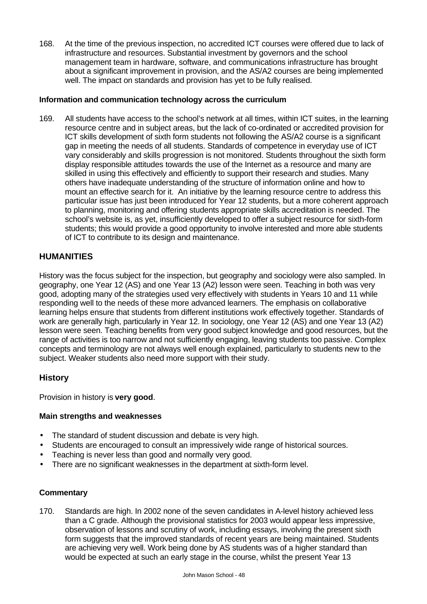168. At the time of the previous inspection, no accredited ICT courses were offered due to lack of infrastructure and resources. Substantial investment by governors and the school management team in hardware, software, and communications infrastructure has brought about a significant improvement in provision, and the AS/A2 courses are being implemented well. The impact on standards and provision has yet to be fully realised.

### **Information and communication technology across the curriculum**

169. All students have access to the school's network at all times, within ICT suites, in the learning resource centre and in subject areas, but the lack of co-ordinated or accredited provision for ICT skills development of sixth form students not following the AS/A2 course is a significant gap in meeting the needs of all students. Standards of competence in everyday use of ICT vary considerably and skills progression is not monitored. Students throughout the sixth form display responsible attitudes towards the use of the Internet as a resource and many are skilled in using this effectively and efficiently to support their research and studies. Many others have inadequate understanding of the structure of information online and how to mount an effective search for it. An initiative by the learning resource centre to address this particular issue has just been introduced for Year 12 students, but a more coherent approach to planning, monitoring and offering students appropriate skills accreditation is needed. The school's website is, as yet, insufficiently developed to offer a subject resource for sixth-form students; this would provide a good opportunity to involve interested and more able students of ICT to contribute to its design and maintenance.

### **HUMANITIES**

History was the focus subject for the inspection, but geography and sociology were also sampled. In geography, one Year 12 (AS) and one Year 13 (A2) lesson were seen. Teaching in both was very good, adopting many of the strategies used very effectively with students in Years 10 and 11 while responding well to the needs of these more advanced learners. The emphasis on collaborative learning helps ensure that students from different institutions work effectively together. Standards of work are generally high, particularly in Year 12. In sociology, one Year 12 (AS) and one Year 13 (A2) lesson were seen. Teaching benefits from very good subject knowledge and good resources, but the range of activities is too narrow and not sufficiently engaging, leaving students too passive. Complex concepts and terminology are not always well enough explained, particularly to students new to the subject. Weaker students also need more support with their study.

#### **History**

Provision in history is **very good**.

#### **Main strengths and weaknesses**

- The standard of student discussion and debate is very high.
- Students are encouraged to consult an impressively wide range of historical sources.
- Teaching is never less than good and normally very good.
- There are no significant weaknesses in the department at sixth-form level.

#### **Commentary**

170. Standards are high. In 2002 none of the seven candidates in A-level history achieved less than a C grade. Although the provisional statistics for 2003 would appear less impressive, observation of lessons and scrutiny of work, including essays, involving the present sixth form suggests that the improved standards of recent years are being maintained. Students are achieving very well. Work being done by AS students was of a higher standard than would be expected at such an early stage in the course, whilst the present Year 13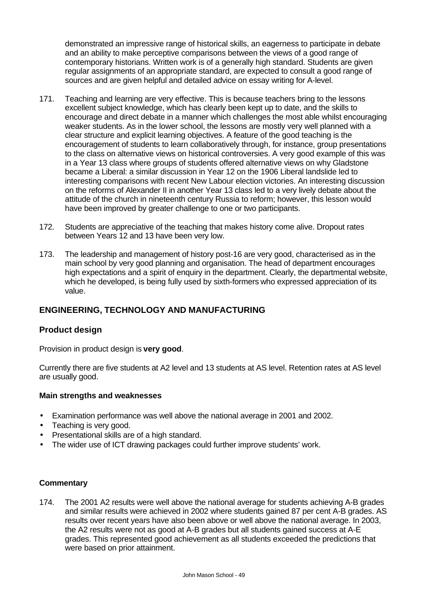demonstrated an impressive range of historical skills, an eagerness to participate in debate and an ability to make perceptive comparisons between the views of a good range of contemporary historians. Written work is of a generally high standard. Students are given regular assignments of an appropriate standard, are expected to consult a good range of sources and are given helpful and detailed advice on essay writing for A-level.

- 171. Teaching and learning are very effective. This is because teachers bring to the lessons excellent subject knowledge, which has clearly been kept up to date, and the skills to encourage and direct debate in a manner which challenges the most able whilst encouraging weaker students. As in the lower school, the lessons are mostly very well planned with a clear structure and explicit learning objectives. A feature of the good teaching is the encouragement of students to learn collaboratively through, for instance, group presentations to the class on alternative views on historical controversies. A very good example of this was in a Year 13 class where groups of students offered alternative views on why Gladstone became a Liberal: a similar discussion in Year 12 on the 1906 Liberal landslide led to interesting comparisons with recent New Labour election victories. An interesting discussion on the reforms of Alexander II in another Year 13 class led to a very lively debate about the attitude of the church in nineteenth century Russia to reform; however, this lesson would have been improved by greater challenge to one or two participants.
- 172. Students are appreciative of the teaching that makes history come alive. Dropout rates between Years 12 and 13 have been very low.
- 173. The leadership and management of history post-16 are very good, characterised as in the main school by very good planning and organisation. The head of department encourages high expectations and a spirit of enquiry in the department. Clearly, the departmental website, which he developed, is being fully used by sixth-formers who expressed appreciation of its value.

# **ENGINEERING, TECHNOLOGY AND MANUFACTURING**

#### **Product design**

Provision in product design is **very good**.

Currently there are five students at A2 level and 13 students at AS level. Retention rates at AS level are usually good.

#### **Main strengths and weaknesses**

- Examination performance was well above the national average in 2001 and 2002.
- Teaching is very good.
- Presentational skills are of a high standard.
- The wider use of ICT drawing packages could further improve students' work.

#### **Commentary**

174. The 2001 A2 results were well above the national average for students achieving A-B grades and similar results were achieved in 2002 where students gained 87 per cent A-B grades. AS results over recent years have also been above or well above the national average. In 2003, the A2 results were not as good at A-B grades but all students gained success at A-E grades. This represented good achievement as all students exceeded the predictions that were based on prior attainment.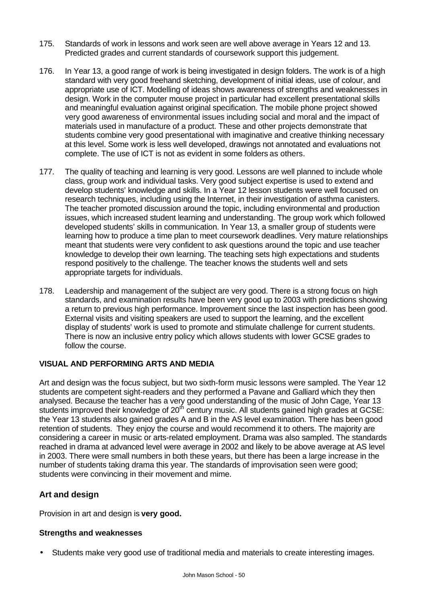- 175. Standards of work in lessons and work seen are well above average in Years 12 and 13. Predicted grades and current standards of coursework support this judgement.
- 176. In Year 13, a good range of work is being investigated in design folders. The work is of a high standard with very good freehand sketching, development of initial ideas, use of colour, and appropriate use of ICT. Modelling of ideas shows awareness of strengths and weaknesses in design. Work in the computer mouse project in particular had excellent presentational skills and meaningful evaluation against original specification. The mobile phone project showed very good awareness of environmental issues including social and moral and the impact of materials used in manufacture of a product. These and other projects demonstrate that students combine very good presentational with imaginative and creative thinking necessary at this level. Some work is less well developed, drawings not annotated and evaluations not complete. The use of ICT is not as evident in some folders as others.
- 177. The quality of teaching and learning is very good. Lessons are well planned to include whole class, group work and individual tasks. Very good subject expertise is used to extend and develop students' knowledge and skills. In a Year 12 lesson students were well focused on research techniques, including using the Internet, in their investigation of asthma canisters. The teacher promoted discussion around the topic, including environmental and production issues, which increased student learning and understanding. The group work which followed developed students' skills in communication. In Year 13, a smaller group of students were learning how to produce a time plan to meet coursework deadlines. Very mature relationships meant that students were very confident to ask questions around the topic and use teacher knowledge to develop their own learning. The teaching sets high expectations and students respond positively to the challenge. The teacher knows the students well and sets appropriate targets for individuals.
- 178. Leadership and management of the subject are very good. There is a strong focus on high standards, and examination results have been very good up to 2003 with predictions showing a return to previous high performance. Improvement since the last inspection has been good. External visits and visiting speakers are used to support the learning, and the excellent display of students' work is used to promote and stimulate challenge for current students. There is now an inclusive entry policy which allows students with lower GCSE grades to follow the course.

#### **VISUAL AND PERFORMING ARTS AND MEDIA**

Art and design was the focus subject, but two sixth-form music lessons were sampled. The Year 12 students are competent sight-readers and they performed a Pavane and Galliard which they then analysed. Because the teacher has a very good understanding of the music of John Cage, Year 13 students improved their knowledge of 20<sup>th</sup> century music. All students gained high grades at GCSE: the Year 13 students also gained grades A and B in the AS level examination. There has been good retention of students. They enjoy the course and would recommend it to others. The majority are considering a career in music or arts-related employment. Drama was also sampled. The standards reached in drama at advanced level were average in 2002 and likely to be above average at AS level in 2003. There were small numbers in both these years, but there has been a large increase in the number of students taking drama this year. The standards of improvisation seen were good; students were convincing in their movement and mime.

# **Art and design**

Provision in art and design is **very good.**

#### **Strengths and weaknesses**

• Students make very good use of traditional media and materials to create interesting images.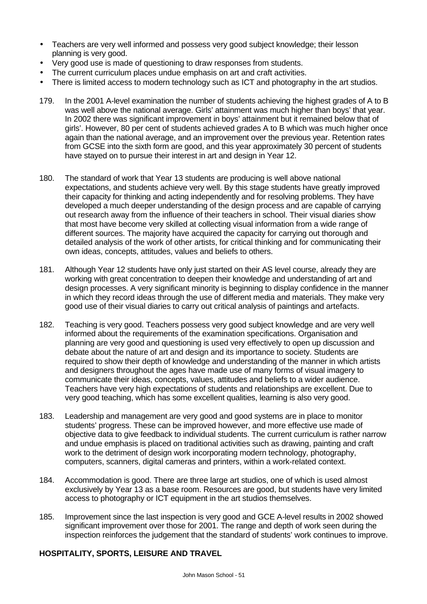- Teachers are very well informed and possess very good subject knowledge; their lesson planning is very good.
- Very good use is made of questioning to draw responses from students.
- The current curriculum places undue emphasis on art and craft activities.
- There is limited access to modern technology such as ICT and photography in the art studios.
- 179. In the 2001 A-level examination the number of students achieving the highest grades of A to B was well above the national average. Girls' attainment was much higher than boys' that year. In 2002 there was significant improvement in boys' attainment but it remained below that of girls'. However, 80 per cent of students achieved grades A to B which was much higher once again than the national average, and an improvement over the previous year. Retention rates from GCSE into the sixth form are good, and this year approximately 30 percent of students have stayed on to pursue their interest in art and design in Year 12.
- 180. The standard of work that Year 13 students are producing is well above national expectations, and students achieve very well. By this stage students have greatly improved their capacity for thinking and acting independently and for resolving problems. They have developed a much deeper understanding of the design process and are capable of carrying out research away from the influence of their teachers in school. Their visual diaries show that most have become very skilled at collecting visual information from a wide range of different sources. The majority have acquired the capacity for carrying out thorough and detailed analysis of the work of other artists, for critical thinking and for communicating their own ideas, concepts, attitudes, values and beliefs to others.
- 181. Although Year 12 students have only just started on their AS level course, already they are working with great concentration to deepen their knowledge and understanding of art and design processes. A very significant minority is beginning to display confidence in the manner in which they record ideas through the use of different media and materials. They make very good use of their visual diaries to carry out critical analysis of paintings and artefacts.
- 182. Teaching is very good. Teachers possess very good subject knowledge and are very well informed about the requirements of the examination specifications. Organisation and planning are very good and questioning is used very effectively to open up discussion and debate about the nature of art and design and its importance to society. Students are required to show their depth of knowledge and understanding of the manner in which artists and designers throughout the ages have made use of many forms of visual imagery to communicate their ideas, concepts, values, attitudes and beliefs to a wider audience. Teachers have very high expectations of students and relationships are excellent. Due to very good teaching, which has some excellent qualities, learning is also very good.
- 183. Leadership and management are very good and good systems are in place to monitor students' progress. These can be improved however, and more effective use made of objective data to give feedback to individual students. The current curriculum is rather narrow and undue emphasis is placed on traditional activities such as drawing, painting and craft work to the detriment of design work incorporating modern technology, photography, computers, scanners, digital cameras and printers, within a work-related context.
- 184. Accommodation is good. There are three large art studios, one of which is used almost exclusively by Year 13 as a base room. Resources are good, but students have very limited access to photography or ICT equipment in the art studios themselves.
- 185. Improvement since the last inspection is very good and GCE A-level results in 2002 showed significant improvement over those for 2001. The range and depth of work seen during the inspection reinforces the judgement that the standard of students' work continues to improve.

# **HOSPITALITY, SPORTS, LEISURE AND TRAVEL**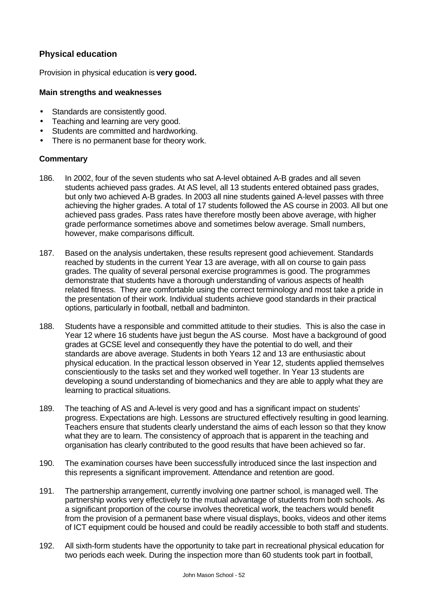# **Physical education**

Provision in physical education is **very good.**

#### **Main strengths and weaknesses**

- Standards are consistently good.
- Teaching and learning are very good.
- Students are committed and hardworking.
- There is no permanent base for theory work.

- 186. In 2002, four of the seven students who sat A-level obtained A-B grades and all seven students achieved pass grades. At AS level, all 13 students entered obtained pass grades, but only two achieved A-B grades. In 2003 all nine students gained A-level passes with three achieving the higher grades. A total of 17 students followed the AS course in 2003. All but one achieved pass grades. Pass rates have therefore mostly been above average, with higher grade performance sometimes above and sometimes below average. Small numbers, however, make comparisons difficult.
- 187. Based on the analysis undertaken, these results represent good achievement. Standards reached by students in the current Year 13 are average, with all on course to gain pass grades. The quality of several personal exercise programmes is good. The programmes demonstrate that students have a thorough understanding of various aspects of health related fitness. They are comfortable using the correct terminology and most take a pride in the presentation of their work. Individual students achieve good standards in their practical options, particularly in football, netball and badminton.
- 188. Students have a responsible and committed attitude to their studies. This is also the case in Year 12 where 16 students have just begun the AS course. Most have a background of good grades at GCSE level and consequently they have the potential to do well, and their standards are above average. Students in both Years 12 and 13 are enthusiastic about physical education. In the practical lesson observed in Year 12, students applied themselves conscientiously to the tasks set and they worked well together. In Year 13 students are developing a sound understanding of biomechanics and they are able to apply what they are learning to practical situations.
- 189. The teaching of AS and A-level is very good and has a significant impact on students' progress. Expectations are high. Lessons are structured effectively resulting in good learning. Teachers ensure that students clearly understand the aims of each lesson so that they know what they are to learn. The consistency of approach that is apparent in the teaching and organisation has clearly contributed to the good results that have been achieved so far.
- 190. The examination courses have been successfully introduced since the last inspection and this represents a significant improvement. Attendance and retention are good.
- 191. The partnership arrangement, currently involving one partner school, is managed well. The partnership works very effectively to the mutual advantage of students from both schools*.* As a significant proportion of the course involves theoretical work, the teachers would benefit from the provision of a permanent base where visual displays, books, videos and other items of ICT equipment could be housed and could be readily accessible to both staff and students.
- 192. All sixth-form students have the opportunity to take part in recreational physical education for two periods each week. During the inspection more than 60 students took part in football,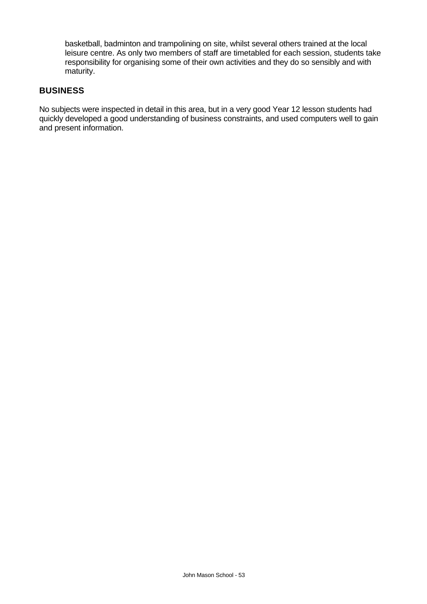basketball, badminton and trampolining on site, whilst several others trained at the local leisure centre. As only two members of staff are timetabled for each session, students take responsibility for organising some of their own activities and they do so sensibly and with maturity.

### **BUSINESS**

No subjects were inspected in detail in this area, but in a very good Year 12 lesson students had quickly developed a good understanding of business constraints, and used computers well to gain and present information.